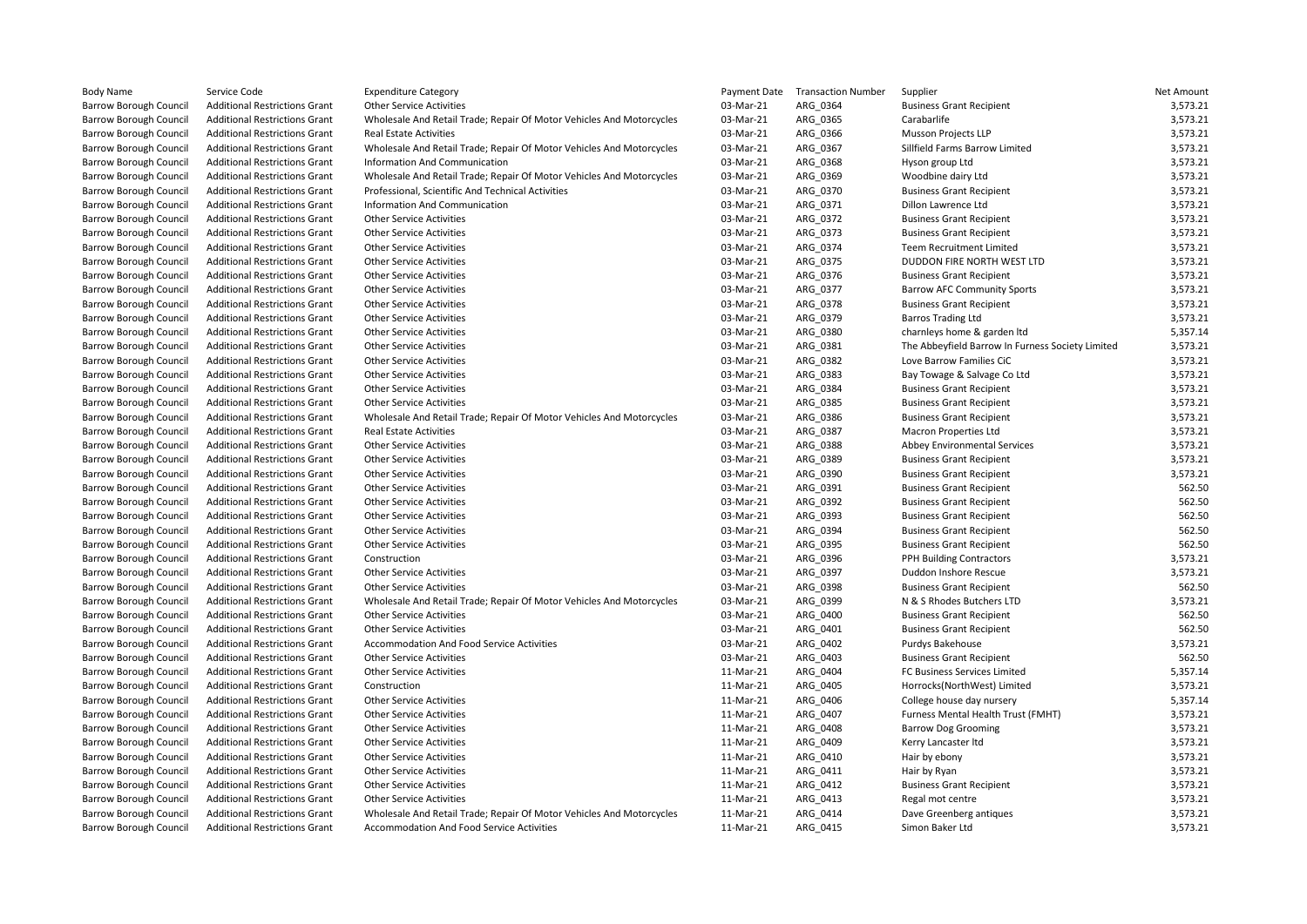| <b>Body Name</b>              | Service Code                         | <b>Expenditure Category</b>                                          | Payment Date | <b>Transaction Number</b> | Supplier                                         | Net Amount |
|-------------------------------|--------------------------------------|----------------------------------------------------------------------|--------------|---------------------------|--------------------------------------------------|------------|
| <b>Barrow Borough Council</b> | <b>Additional Restrictions Grant</b> | <b>Other Service Activities</b>                                      | 03-Mar-21    | ARG_0364                  | <b>Business Grant Recipient</b>                  | 3,573.21   |
| <b>Barrow Borough Council</b> | <b>Additional Restrictions Grant</b> | Wholesale And Retail Trade; Repair Of Motor Vehicles And Motorcycles | 03-Mar-21    | ARG 0365                  | Carabarlife                                      | 3,573.21   |
| <b>Barrow Borough Council</b> | <b>Additional Restrictions Grant</b> | <b>Real Estate Activities</b>                                        | 03-Mar-21    | ARG 0366                  | Musson Projects LLP                              | 3,573.21   |
| <b>Barrow Borough Council</b> | <b>Additional Restrictions Grant</b> | Wholesale And Retail Trade; Repair Of Motor Vehicles And Motorcycles | 03-Mar-21    | ARG_0367                  | Sillfield Farms Barrow Limited                   | 3,573.21   |
| <b>Barrow Borough Council</b> | <b>Additional Restrictions Grant</b> | Information And Communication                                        | 03-Mar-21    | ARG_0368                  | Hyson group Ltd                                  | 3,573.21   |
| <b>Barrow Borough Council</b> | <b>Additional Restrictions Grant</b> | Wholesale And Retail Trade; Repair Of Motor Vehicles And Motorcycles | 03-Mar-21    | ARG_0369                  | Woodbine dairy Ltd                               | 3,573.21   |
| <b>Barrow Borough Council</b> | <b>Additional Restrictions Grant</b> | Professional, Scientific And Technical Activities                    | 03-Mar-21    | ARG_0370                  | <b>Business Grant Recipient</b>                  | 3,573.21   |
| <b>Barrow Borough Council</b> | <b>Additional Restrictions Grant</b> | Information And Communication                                        | 03-Mar-21    | ARG 0371                  | Dillon Lawrence Ltd                              | 3,573.21   |
| <b>Barrow Borough Council</b> | <b>Additional Restrictions Grant</b> | <b>Other Service Activities</b>                                      | 03-Mar-21    | ARG_0372                  | <b>Business Grant Recipient</b>                  | 3,573.21   |
| <b>Barrow Borough Council</b> | <b>Additional Restrictions Grant</b> | <b>Other Service Activities</b>                                      | 03-Mar-21    | ARG_0373                  | <b>Business Grant Recipient</b>                  | 3,573.21   |
| <b>Barrow Borough Council</b> | <b>Additional Restrictions Grant</b> | <b>Other Service Activities</b>                                      | 03-Mar-21    | ARG_0374                  | <b>Teem Recruitment Limited</b>                  | 3,573.21   |
| <b>Barrow Borough Council</b> | <b>Additional Restrictions Grant</b> | <b>Other Service Activities</b>                                      | 03-Mar-21    | ARG 0375                  | DUDDON FIRE NORTH WEST LTD                       | 3,573.21   |
|                               | <b>Additional Restrictions Grant</b> |                                                                      | 03-Mar-21    | ARG 0376                  | <b>Business Grant Recipient</b>                  | 3,573.21   |
| <b>Barrow Borough Council</b> |                                      | <b>Other Service Activities</b>                                      |              |                           |                                                  |            |
| <b>Barrow Borough Council</b> | <b>Additional Restrictions Grant</b> | <b>Other Service Activities</b>                                      | 03-Mar-21    | ARG_0377                  | <b>Barrow AFC Community Sports</b>               | 3,573.21   |
| <b>Barrow Borough Council</b> | <b>Additional Restrictions Grant</b> | <b>Other Service Activities</b>                                      | 03-Mar-21    | ARG_0378                  | <b>Business Grant Recipient</b>                  | 3,573.21   |
| <b>Barrow Borough Council</b> | <b>Additional Restrictions Grant</b> | <b>Other Service Activities</b>                                      | 03-Mar-21    | ARG_0379                  | <b>Barros Trading Ltd</b>                        | 3,573.21   |
| <b>Barrow Borough Council</b> | <b>Additional Restrictions Grant</b> | <b>Other Service Activities</b>                                      | 03-Mar-21    | ARG_0380                  | charnleys home & garden Itd                      | 5,357.14   |
| <b>Barrow Borough Council</b> | <b>Additional Restrictions Grant</b> | <b>Other Service Activities</b>                                      | 03-Mar-21    | ARG_0381                  | The Abbeyfield Barrow In Furness Society Limited | 3,573.21   |
| <b>Barrow Borough Council</b> | <b>Additional Restrictions Grant</b> | <b>Other Service Activities</b>                                      | 03-Mar-21    | ARG_0382                  | Love Barrow Families CiC                         | 3,573.21   |
| <b>Barrow Borough Council</b> | <b>Additional Restrictions Grant</b> | <b>Other Service Activities</b>                                      | 03-Mar-21    | ARG_0383                  | Bay Towage & Salvage Co Ltd                      | 3,573.21   |
| <b>Barrow Borough Council</b> | <b>Additional Restrictions Grant</b> | <b>Other Service Activities</b>                                      | 03-Mar-21    | ARG 0384                  | <b>Business Grant Recipient</b>                  | 3,573.21   |
| <b>Barrow Borough Council</b> | <b>Additional Restrictions Grant</b> | <b>Other Service Activities</b>                                      | 03-Mar-21    | ARG 0385                  | <b>Business Grant Recipient</b>                  | 3,573.21   |
| <b>Barrow Borough Council</b> | <b>Additional Restrictions Grant</b> | Wholesale And Retail Trade; Repair Of Motor Vehicles And Motorcycles | 03-Mar-21    | ARG_0386                  | <b>Business Grant Recipient</b>                  | 3,573.21   |
| <b>Barrow Borough Council</b> | <b>Additional Restrictions Grant</b> | <b>Real Estate Activities</b>                                        | 03-Mar-21    | ARG_0387                  | <b>Macron Properties Ltd</b>                     | 3,573.21   |
| <b>Barrow Borough Council</b> | <b>Additional Restrictions Grant</b> | <b>Other Service Activities</b>                                      | 03-Mar-21    | ARG_0388                  | Abbey Environmental Services                     | 3,573.21   |
| <b>Barrow Borough Council</b> | <b>Additional Restrictions Grant</b> | <b>Other Service Activities</b>                                      | 03-Mar-21    | ARG_0389                  | <b>Business Grant Recipient</b>                  | 3,573.21   |
| <b>Barrow Borough Council</b> | <b>Additional Restrictions Grant</b> | <b>Other Service Activities</b>                                      | 03-Mar-21    | ARG 0390                  | <b>Business Grant Recipient</b>                  | 3,573.21   |
| <b>Barrow Borough Council</b> | <b>Additional Restrictions Grant</b> | <b>Other Service Activities</b>                                      | 03-Mar-21    | ARG 0391                  | <b>Business Grant Recipient</b>                  | 562.50     |
| <b>Barrow Borough Council</b> | <b>Additional Restrictions Grant</b> | <b>Other Service Activities</b>                                      | 03-Mar-21    | ARG_0392                  | <b>Business Grant Recipient</b>                  | 562.50     |
| <b>Barrow Borough Council</b> | <b>Additional Restrictions Grant</b> | <b>Other Service Activities</b>                                      | 03-Mar-21    | ARG_0393                  | <b>Business Grant Recipient</b>                  | 562.50     |
| <b>Barrow Borough Council</b> | <b>Additional Restrictions Grant</b> | <b>Other Service Activities</b>                                      | 03-Mar-21    | ARG 0394                  | <b>Business Grant Recipient</b>                  | 562.50     |
| <b>Barrow Borough Council</b> | <b>Additional Restrictions Grant</b> | <b>Other Service Activities</b>                                      | 03-Mar-21    | ARG_0395                  | <b>Business Grant Recipient</b>                  | 562.50     |
| <b>Barrow Borough Council</b> | <b>Additional Restrictions Grant</b> | Construction                                                         | 03-Mar-21    | ARG 0396                  | PPH Building Contractors                         | 3,573.21   |
| <b>Barrow Borough Council</b> | <b>Additional Restrictions Grant</b> | <b>Other Service Activities</b>                                      | 03-Mar-21    | ARG_0397                  | Duddon Inshore Rescue                            | 3,573.21   |
| <b>Barrow Borough Council</b> | <b>Additional Restrictions Grant</b> | <b>Other Service Activities</b>                                      | 03-Mar-21    | ARG 0398                  | <b>Business Grant Recipient</b>                  | 562.50     |
| <b>Barrow Borough Council</b> | <b>Additional Restrictions Grant</b> | Wholesale And Retail Trade; Repair Of Motor Vehicles And Motorcycles | 03-Mar-21    | ARG 0399                  | N & S Rhodes Butchers LTD                        | 3,573.21   |
| <b>Barrow Borough Council</b> | <b>Additional Restrictions Grant</b> | <b>Other Service Activities</b>                                      | 03-Mar-21    | ARG_0400                  | <b>Business Grant Recipient</b>                  | 562.50     |
| <b>Barrow Borough Council</b> | <b>Additional Restrictions Grant</b> | <b>Other Service Activities</b>                                      | 03-Mar-21    | ARG_0401                  | <b>Business Grant Recipient</b>                  | 562.50     |
| <b>Barrow Borough Council</b> | <b>Additional Restrictions Grant</b> | Accommodation And Food Service Activities                            | 03-Mar-21    | ARG_0402                  | Purdys Bakehouse                                 | 3,573.21   |
| <b>Barrow Borough Council</b> | <b>Additional Restrictions Grant</b> | <b>Other Service Activities</b>                                      | 03-Mar-21    | ARG 0403                  | <b>Business Grant Recipient</b>                  | 562.50     |
| <b>Barrow Borough Council</b> |                                      |                                                                      | 11-Mar-21    | ARG 0404                  | FC Business Services Limited                     | 5,357.14   |
|                               | <b>Additional Restrictions Grant</b> | <b>Other Service Activities</b>                                      |              |                           |                                                  |            |
| <b>Barrow Borough Council</b> | <b>Additional Restrictions Grant</b> | Construction                                                         | 11-Mar-21    | ARG_0405                  | Horrocks(NorthWest) Limited                      | 3,573.21   |
| <b>Barrow Borough Council</b> | <b>Additional Restrictions Grant</b> | <b>Other Service Activities</b>                                      | 11-Mar-21    | ARG_0406                  | College house day nursery                        | 5,357.14   |
| <b>Barrow Borough Council</b> | <b>Additional Restrictions Grant</b> | <b>Other Service Activities</b>                                      | 11-Mar-21    | ARG 0407                  | Furness Mental Health Trust (FMHT)               | 3,573.21   |
| <b>Barrow Borough Council</b> | <b>Additional Restrictions Grant</b> | <b>Other Service Activities</b>                                      | 11-Mar-21    | ARG 0408                  | <b>Barrow Dog Grooming</b>                       | 3,573.21   |
| <b>Barrow Borough Council</b> | <b>Additional Restrictions Grant</b> | <b>Other Service Activities</b>                                      | 11-Mar-21    | ARG_0409                  | Kerry Lancaster Itd                              | 3,573.21   |
| <b>Barrow Borough Council</b> | <b>Additional Restrictions Grant</b> | <b>Other Service Activities</b>                                      | 11-Mar-21    | ARG_0410                  | Hair by ebony                                    | 3,573.21   |
| <b>Barrow Borough Council</b> | <b>Additional Restrictions Grant</b> | <b>Other Service Activities</b>                                      | 11-Mar-21    | ARG_0411                  | Hair by Ryan                                     | 3,573.21   |
| <b>Barrow Borough Council</b> | <b>Additional Restrictions Grant</b> | <b>Other Service Activities</b>                                      | 11-Mar-21    | ARG 0412                  | <b>Business Grant Recipient</b>                  | 3,573.21   |
| <b>Barrow Borough Council</b> | <b>Additional Restrictions Grant</b> | <b>Other Service Activities</b>                                      | 11-Mar-21    | ARG 0413                  | Regal mot centre                                 | 3,573.21   |
| <b>Barrow Borough Council</b> | <b>Additional Restrictions Grant</b> | Wholesale And Retail Trade; Repair Of Motor Vehicles And Motorcycles | 11-Mar-21    | ARG_0414                  | Dave Greenberg antiques                          | 3,573.21   |
| <b>Barrow Borough Council</b> | <b>Additional Restrictions Grant</b> | Accommodation And Food Service Activities                            | 11-Mar-21    | ARG 0415                  | Simon Baker Ltd                                  | 3,573.21   |
|                               |                                      |                                                                      |              |                           |                                                  |            |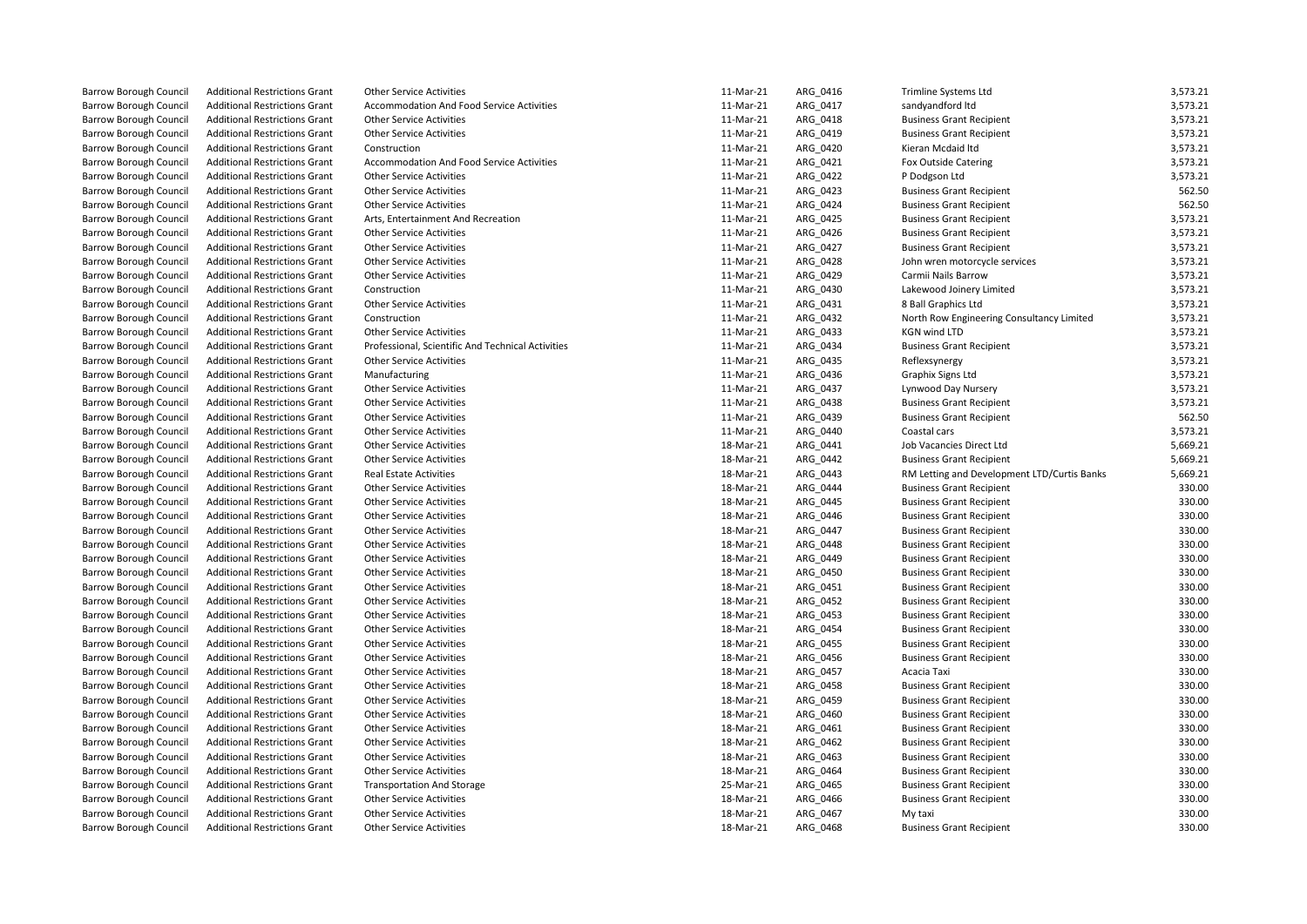| <b>Barrow Borough Council</b> | <b>Additional Restrictions Grant</b> | <b>Other Service Activities</b>                   | 11-Mar-21 | ARG_0416 | Trimline Systems Ltd                        | 3,573.21 |
|-------------------------------|--------------------------------------|---------------------------------------------------|-----------|----------|---------------------------------------------|----------|
| <b>Barrow Borough Council</b> | <b>Additional Restrictions Grant</b> | Accommodation And Food Service Activities         | 11-Mar-21 | ARG 0417 | sandyandford Itd                            | 3,573.21 |
| <b>Barrow Borough Council</b> | <b>Additional Restrictions Grant</b> | <b>Other Service Activities</b>                   | 11-Mar-21 | ARG_0418 | <b>Business Grant Recipient</b>             | 3,573.21 |
| <b>Barrow Borough Council</b> | <b>Additional Restrictions Grant</b> | <b>Other Service Activities</b>                   | 11-Mar-21 | ARG_0419 | <b>Business Grant Recipient</b>             | 3,573.21 |
| <b>Barrow Borough Council</b> | <b>Additional Restrictions Grant</b> | Construction                                      | 11-Mar-21 | ARG 0420 | Kieran Mcdaid Itd                           | 3,573.21 |
| <b>Barrow Borough Council</b> | <b>Additional Restrictions Grant</b> | Accommodation And Food Service Activities         | 11-Mar-21 | ARG_0421 | Fox Outside Catering                        | 3,573.21 |
| <b>Barrow Borough Council</b> | <b>Additional Restrictions Grant</b> | <b>Other Service Activities</b>                   | 11-Mar-21 | ARG_0422 | P Dodgson Ltd                               | 3,573.21 |
| <b>Barrow Borough Council</b> | <b>Additional Restrictions Grant</b> | <b>Other Service Activities</b>                   | 11-Mar-21 | ARG_0423 | <b>Business Grant Recipient</b>             | 562.50   |
| <b>Barrow Borough Council</b> | <b>Additional Restrictions Grant</b> | <b>Other Service Activities</b>                   | 11-Mar-21 | ARG 0424 | <b>Business Grant Recipient</b>             | 562.50   |
| <b>Barrow Borough Council</b> | <b>Additional Restrictions Grant</b> | Arts, Entertainment And Recreation                | 11-Mar-21 | ARG 0425 | <b>Business Grant Recipient</b>             | 3,573.21 |
| <b>Barrow Borough Council</b> | <b>Additional Restrictions Grant</b> | <b>Other Service Activities</b>                   | 11-Mar-21 | ARG 0426 | <b>Business Grant Recipient</b>             | 3,573.21 |
| <b>Barrow Borough Council</b> | <b>Additional Restrictions Grant</b> | <b>Other Service Activities</b>                   | 11-Mar-21 | ARG 0427 | <b>Business Grant Recipient</b>             | 3,573.21 |
| <b>Barrow Borough Council</b> | <b>Additional Restrictions Grant</b> | <b>Other Service Activities</b>                   | 11-Mar-21 | ARG 0428 | John wren motorcycle services               | 3,573.21 |
| <b>Barrow Borough Council</b> | <b>Additional Restrictions Grant</b> | <b>Other Service Activities</b>                   | 11-Mar-21 | ARG_0429 | Carmii Nails Barrow                         | 3,573.21 |
| <b>Barrow Borough Council</b> | <b>Additional Restrictions Grant</b> | Construction                                      | 11-Mar-21 | ARG 0430 | Lakewood Joinery Limited                    | 3,573.21 |
| <b>Barrow Borough Council</b> | <b>Additional Restrictions Grant</b> | <b>Other Service Activities</b>                   | 11-Mar-21 | ARG_0431 | 8 Ball Graphics Ltd                         | 3,573.21 |
| <b>Barrow Borough Council</b> | <b>Additional Restrictions Grant</b> | Construction                                      | 11-Mar-21 | ARG 0432 | North Row Engineering Consultancy Limited   | 3,573.21 |
| <b>Barrow Borough Council</b> | <b>Additional Restrictions Grant</b> | <b>Other Service Activities</b>                   | 11-Mar-21 | ARG_0433 | <b>KGN wind LTD</b>                         | 3,573.21 |
| <b>Barrow Borough Council</b> | <b>Additional Restrictions Grant</b> | Professional, Scientific And Technical Activities | 11-Mar-21 | ARG_0434 | <b>Business Grant Recipient</b>             | 3,573.21 |
| <b>Barrow Borough Council</b> | <b>Additional Restrictions Grant</b> | <b>Other Service Activities</b>                   | 11-Mar-21 | ARG 0435 | Reflexsynergy                               | 3,573.21 |
| <b>Barrow Borough Council</b> | <b>Additional Restrictions Grant</b> | Manufacturing                                     | 11-Mar-21 | ARG_0436 | Graphix Signs Ltd                           | 3,573.21 |
| <b>Barrow Borough Council</b> | <b>Additional Restrictions Grant</b> | <b>Other Service Activities</b>                   | 11-Mar-21 | ARG 0437 | Lynwood Day Nursery                         | 3,573.21 |
| <b>Barrow Borough Council</b> | <b>Additional Restrictions Grant</b> | <b>Other Service Activities</b>                   | 11-Mar-21 | ARG_0438 | <b>Business Grant Recipient</b>             | 3,573.21 |
| <b>Barrow Borough Council</b> | <b>Additional Restrictions Grant</b> | <b>Other Service Activities</b>                   | 11-Mar-21 | ARG_0439 | <b>Business Grant Recipient</b>             | 562.50   |
| <b>Barrow Borough Council</b> | <b>Additional Restrictions Grant</b> | <b>Other Service Activities</b>                   | 11-Mar-21 | ARG 0440 | Coastal cars                                | 3,573.21 |
| <b>Barrow Borough Council</b> | <b>Additional Restrictions Grant</b> | <b>Other Service Activities</b>                   | 18-Mar-21 | ARG_0441 | Job Vacancies Direct Ltd                    | 5,669.21 |
| <b>Barrow Borough Council</b> | <b>Additional Restrictions Grant</b> | <b>Other Service Activities</b>                   | 18-Mar-21 | ARG 0442 | <b>Business Grant Recipient</b>             | 5,669.21 |
| <b>Barrow Borough Council</b> | <b>Additional Restrictions Grant</b> | <b>Real Estate Activities</b>                     | 18-Mar-21 | ARG 0443 | RM Letting and Development LTD/Curtis Banks | 5,669.21 |
| <b>Barrow Borough Council</b> | <b>Additional Restrictions Grant</b> | <b>Other Service Activities</b>                   | 18-Mar-21 | ARG 0444 | <b>Business Grant Recipient</b>             | 330.00   |
| <b>Barrow Borough Council</b> | <b>Additional Restrictions Grant</b> | <b>Other Service Activities</b>                   | 18-Mar-21 | ARG 0445 | <b>Business Grant Recipient</b>             | 330.00   |
| <b>Barrow Borough Council</b> | <b>Additional Restrictions Grant</b> | <b>Other Service Activities</b>                   | 18-Mar-21 | ARG 0446 | <b>Business Grant Recipient</b>             | 330.00   |
| <b>Barrow Borough Council</b> | <b>Additional Restrictions Grant</b> | <b>Other Service Activities</b>                   | 18-Mar-21 | ARG 0447 | <b>Business Grant Recipient</b>             | 330.00   |
| <b>Barrow Borough Council</b> | <b>Additional Restrictions Grant</b> | <b>Other Service Activities</b>                   | 18-Mar-21 | ARG_0448 | <b>Business Grant Recipient</b>             | 330.00   |
| <b>Barrow Borough Council</b> | <b>Additional Restrictions Grant</b> | <b>Other Service Activities</b>                   | 18-Mar-21 | ARG_0449 | <b>Business Grant Recipient</b>             | 330.00   |
| <b>Barrow Borough Council</b> | <b>Additional Restrictions Grant</b> | <b>Other Service Activities</b>                   | 18-Mar-21 | ARG 0450 | <b>Business Grant Recipient</b>             | 330.00   |
| <b>Barrow Borough Council</b> | <b>Additional Restrictions Grant</b> | <b>Other Service Activities</b>                   | 18-Mar-21 | ARG_0451 | <b>Business Grant Recipient</b>             | 330.00   |
| <b>Barrow Borough Council</b> | <b>Additional Restrictions Grant</b> | <b>Other Service Activities</b>                   | 18-Mar-21 | ARG_0452 | <b>Business Grant Recipient</b>             | 330.00   |
| <b>Barrow Borough Council</b> | <b>Additional Restrictions Grant</b> | <b>Other Service Activities</b>                   | 18-Mar-21 | ARG_0453 | <b>Business Grant Recipient</b>             | 330.00   |
| <b>Barrow Borough Council</b> | <b>Additional Restrictions Grant</b> | <b>Other Service Activities</b>                   | 18-Mar-21 | ARG_0454 | <b>Business Grant Recipient</b>             | 330.00   |
| <b>Barrow Borough Council</b> | <b>Additional Restrictions Grant</b> | <b>Other Service Activities</b>                   | 18-Mar-21 | ARG 0455 | <b>Business Grant Recipient</b>             | 330.00   |
| <b>Barrow Borough Council</b> | <b>Additional Restrictions Grant</b> | <b>Other Service Activities</b>                   | 18-Mar-21 | ARG_0456 | <b>Business Grant Recipient</b>             | 330.00   |
| <b>Barrow Borough Council</b> | <b>Additional Restrictions Grant</b> | <b>Other Service Activities</b>                   | 18-Mar-21 | ARG_0457 | Acacia Taxi                                 | 330.00   |
| <b>Barrow Borough Council</b> | <b>Additional Restrictions Grant</b> | <b>Other Service Activities</b>                   | 18-Mar-21 | ARG_0458 | <b>Business Grant Recipient</b>             | 330.00   |
| <b>Barrow Borough Council</b> | <b>Additional Restrictions Grant</b> | <b>Other Service Activities</b>                   | 18-Mar-21 | ARG 0459 | <b>Business Grant Recipient</b>             | 330.00   |
| <b>Barrow Borough Council</b> | <b>Additional Restrictions Grant</b> | <b>Other Service Activities</b>                   | 18-Mar-21 | ARG 0460 | <b>Business Grant Recipient</b>             | 330.00   |
| <b>Barrow Borough Council</b> | <b>Additional Restrictions Grant</b> | <b>Other Service Activities</b>                   | 18-Mar-21 | ARG 0461 | <b>Business Grant Recipient</b>             | 330.00   |
| <b>Barrow Borough Council</b> | <b>Additional Restrictions Grant</b> | <b>Other Service Activities</b>                   | 18-Mar-21 | ARG 0462 | <b>Business Grant Recipient</b>             | 330.00   |
| <b>Barrow Borough Council</b> | <b>Additional Restrictions Grant</b> | <b>Other Service Activities</b>                   | 18-Mar-21 | ARG_0463 | <b>Business Grant Recipient</b>             | 330.00   |
| <b>Barrow Borough Council</b> | <b>Additional Restrictions Grant</b> | <b>Other Service Activities</b>                   | 18-Mar-21 | ARG_0464 | <b>Business Grant Recipient</b>             | 330.00   |
| <b>Barrow Borough Council</b> | <b>Additional Restrictions Grant</b> | <b>Transportation And Storage</b>                 | 25-Mar-21 | ARG 0465 | <b>Business Grant Recipient</b>             | 330.00   |
| <b>Barrow Borough Council</b> | <b>Additional Restrictions Grant</b> | Other Service Activities                          | 18-Mar-21 | ARG_0466 | <b>Business Grant Recipient</b>             | 330.00   |
| <b>Barrow Borough Council</b> | <b>Additional Restrictions Grant</b> | <b>Other Service Activities</b>                   | 18-Mar-21 | ARG 0467 | My taxi                                     | 330.00   |
| <b>Barrow Borough Council</b> | <b>Additional Restrictions Grant</b> | <b>Other Service Activities</b>                   | 18-Mar-21 | ARG_0468 | <b>Business Grant Recipient</b>             | 330.00   |
|                               |                                      |                                                   |           |          |                                             |          |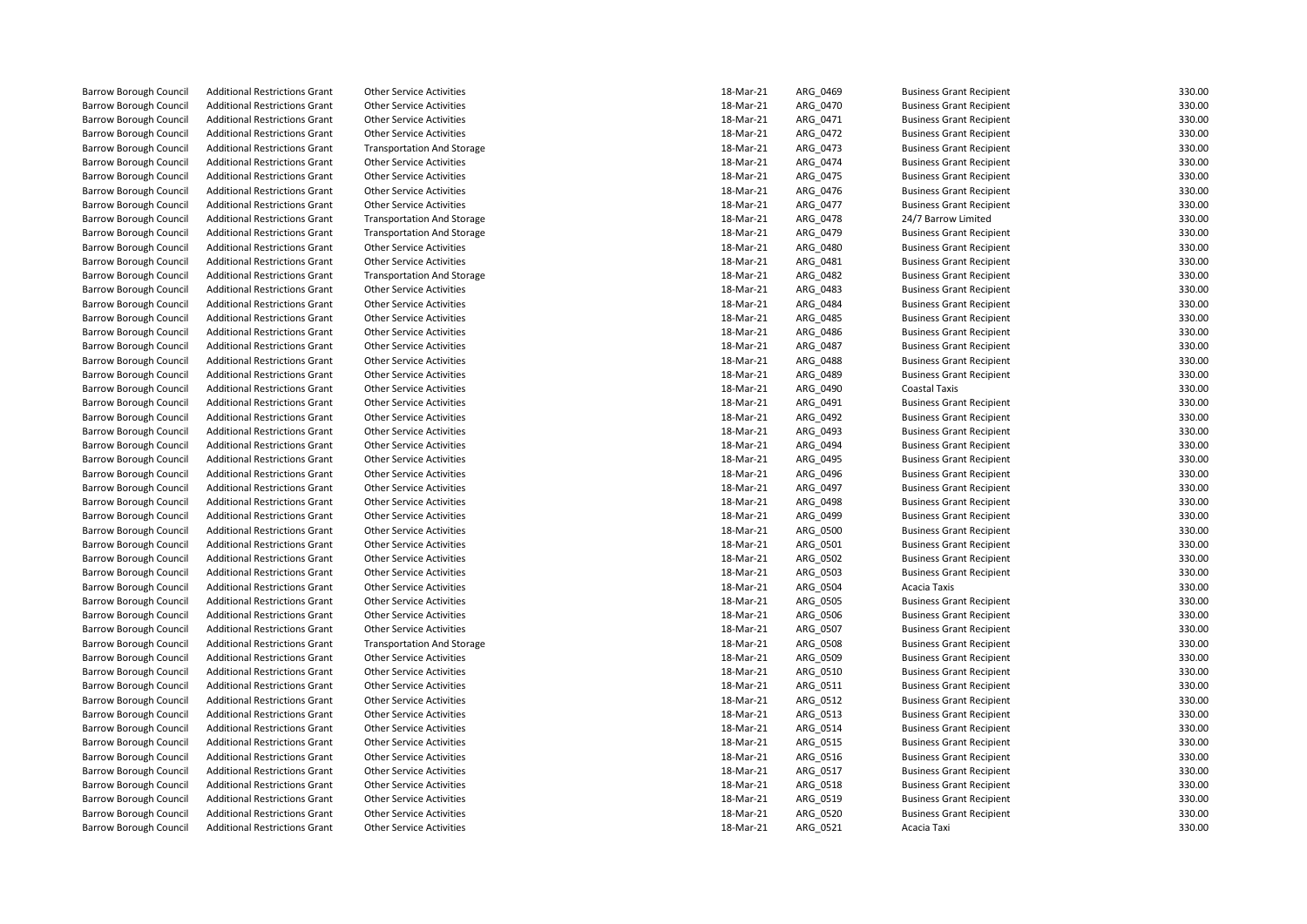| <b>Barrow Borough Council</b> | <b>Additional Restrictions Grant</b> | <b>Other Service Activities</b>   | 18-Mar-21 | ARG_0469 | <b>Business Grant Recipient</b> | 330.00           |
|-------------------------------|--------------------------------------|-----------------------------------|-----------|----------|---------------------------------|------------------|
| <b>Barrow Borough Council</b> | <b>Additional Restrictions Grant</b> | <b>Other Service Activities</b>   | 18-Mar-21 | ARG_0470 | <b>Business Grant Recipient</b> | 330.00           |
| <b>Barrow Borough Council</b> | <b>Additional Restrictions Grant</b> | <b>Other Service Activities</b>   | 18-Mar-21 | ARG_0471 | <b>Business Grant Recipient</b> | 330.00           |
| <b>Barrow Borough Council</b> | <b>Additional Restrictions Grant</b> | <b>Other Service Activities</b>   | 18-Mar-21 | ARG 0472 | <b>Business Grant Recipient</b> | 330.00           |
| <b>Barrow Borough Council</b> | <b>Additional Restrictions Grant</b> | <b>Transportation And Storage</b> | 18-Mar-21 | ARG_0473 | <b>Business Grant Recipient</b> | 330.00           |
| <b>Barrow Borough Council</b> | <b>Additional Restrictions Grant</b> | <b>Other Service Activities</b>   | 18-Mar-21 | ARG_0474 | <b>Business Grant Recipient</b> | 330.00           |
| <b>Barrow Borough Council</b> | <b>Additional Restrictions Grant</b> | <b>Other Service Activities</b>   | 18-Mar-21 | ARG_0475 | <b>Business Grant Recipient</b> | 330.00           |
| <b>Barrow Borough Council</b> | <b>Additional Restrictions Grant</b> | <b>Other Service Activities</b>   | 18-Mar-21 | ARG 0476 | <b>Business Grant Recipient</b> | 330.00           |
| <b>Barrow Borough Council</b> | <b>Additional Restrictions Grant</b> | <b>Other Service Activities</b>   | 18-Mar-21 | ARG_0477 | <b>Business Grant Recipient</b> | 330.00           |
| <b>Barrow Borough Council</b> | <b>Additional Restrictions Grant</b> | <b>Transportation And Storage</b> | 18-Mar-21 | ARG 0478 | 24/7 Barrow Limited             | 330.00           |
| <b>Barrow Borough Council</b> | <b>Additional Restrictions Grant</b> | <b>Transportation And Storage</b> | 18-Mar-21 | ARG_0479 | <b>Business Grant Recipient</b> | 330.00           |
| <b>Barrow Borough Council</b> | <b>Additional Restrictions Grant</b> | <b>Other Service Activities</b>   | 18-Mar-21 | ARG_0480 | <b>Business Grant Recipient</b> | 330.00           |
| <b>Barrow Borough Council</b> | <b>Additional Restrictions Grant</b> | <b>Other Service Activities</b>   | 18-Mar-21 | ARG_0481 | <b>Business Grant Recipient</b> | 330.00           |
| <b>Barrow Borough Council</b> | <b>Additional Restrictions Grant</b> | <b>Transportation And Storage</b> | 18-Mar-21 | ARG_0482 | <b>Business Grant Recipient</b> | 330.00           |
| <b>Barrow Borough Council</b> | <b>Additional Restrictions Grant</b> | <b>Other Service Activities</b>   | 18-Mar-21 | ARG 0483 | <b>Business Grant Recipient</b> | 330.00           |
| <b>Barrow Borough Council</b> | <b>Additional Restrictions Grant</b> | <b>Other Service Activities</b>   | 18-Mar-21 | ARG_0484 | <b>Business Grant Recipient</b> | 330.00           |
| <b>Barrow Borough Council</b> | <b>Additional Restrictions Grant</b> | <b>Other Service Activities</b>   | 18-Mar-21 | ARG_0485 | <b>Business Grant Recipient</b> | 330.00           |
| <b>Barrow Borough Council</b> | <b>Additional Restrictions Grant</b> | <b>Other Service Activities</b>   | 18-Mar-21 | ARG_0486 | <b>Business Grant Recipient</b> | 330.00           |
| <b>Barrow Borough Council</b> | <b>Additional Restrictions Grant</b> | <b>Other Service Activities</b>   | 18-Mar-21 | ARG_0487 | <b>Business Grant Recipient</b> | 330.00           |
| <b>Barrow Borough Council</b> | <b>Additional Restrictions Grant</b> | <b>Other Service Activities</b>   | 18-Mar-21 | ARG 0488 | <b>Business Grant Recipient</b> | 330.00           |
| <b>Barrow Borough Council</b> | <b>Additional Restrictions Grant</b> | <b>Other Service Activities</b>   | 18-Mar-21 | ARG_0489 | <b>Business Grant Recipient</b> | 330.00           |
| <b>Barrow Borough Council</b> | <b>Additional Restrictions Grant</b> | <b>Other Service Activities</b>   | 18-Mar-21 | ARG_0490 | Coastal Taxis                   | 330.00           |
| <b>Barrow Borough Council</b> | <b>Additional Restrictions Grant</b> | <b>Other Service Activities</b>   | 18-Mar-21 | ARG 0491 | <b>Business Grant Recipient</b> | 330.00           |
| <b>Barrow Borough Council</b> | <b>Additional Restrictions Grant</b> | <b>Other Service Activities</b>   | 18-Mar-21 | ARG_0492 | <b>Business Grant Recipient</b> | 330.00           |
| <b>Barrow Borough Council</b> | <b>Additional Restrictions Grant</b> | <b>Other Service Activities</b>   | 18-Mar-21 | ARG 0493 | <b>Business Grant Recipient</b> | 330.00           |
| <b>Barrow Borough Council</b> | <b>Additional Restrictions Grant</b> | <b>Other Service Activities</b>   | 18-Mar-21 | ARG 0494 | <b>Business Grant Recipient</b> | 330.00           |
| <b>Barrow Borough Council</b> | <b>Additional Restrictions Grant</b> | <b>Other Service Activities</b>   | 18-Mar-21 | ARG_0495 | <b>Business Grant Recipient</b> | 330.00           |
| <b>Barrow Borough Council</b> | <b>Additional Restrictions Grant</b> | <b>Other Service Activities</b>   | 18-Mar-21 | ARG_0496 | <b>Business Grant Recipient</b> | 330.00           |
| <b>Barrow Borough Council</b> | <b>Additional Restrictions Grant</b> | <b>Other Service Activities</b>   | 18-Mar-21 | ARG_0497 | <b>Business Grant Recipient</b> | 330.00           |
| <b>Barrow Borough Council</b> | <b>Additional Restrictions Grant</b> | <b>Other Service Activities</b>   | 18-Mar-21 | ARG_0498 | <b>Business Grant Recipient</b> | 330.00           |
| <b>Barrow Borough Council</b> | <b>Additional Restrictions Grant</b> | <b>Other Service Activities</b>   | 18-Mar-21 | ARG 0499 | <b>Business Grant Recipient</b> | 330.00           |
| <b>Barrow Borough Council</b> | <b>Additional Restrictions Grant</b> | <b>Other Service Activities</b>   | 18-Mar-21 | ARG_0500 | <b>Business Grant Recipient</b> | 330.00           |
| <b>Barrow Borough Council</b> | <b>Additional Restrictions Grant</b> | <b>Other Service Activities</b>   | 18-Mar-21 | ARG_0501 | <b>Business Grant Recipient</b> | 330.00           |
| <b>Barrow Borough Council</b> | <b>Additional Restrictions Grant</b> | <b>Other Service Activities</b>   | 18-Mar-21 | ARG_0502 | <b>Business Grant Recipient</b> | 330.00           |
| <b>Barrow Borough Council</b> | <b>Additional Restrictions Grant</b> | <b>Other Service Activities</b>   | 18-Mar-21 | ARG_0503 | <b>Business Grant Recipient</b> | 330.00           |
| <b>Barrow Borough Council</b> | <b>Additional Restrictions Grant</b> | <b>Other Service Activities</b>   | 18-Mar-21 | ARG_0504 | Acacia Taxis                    | 330.00           |
| <b>Barrow Borough Council</b> | <b>Additional Restrictions Grant</b> | <b>Other Service Activities</b>   | 18-Mar-21 | ARG 0505 | <b>Business Grant Recipient</b> | 330.00           |
| <b>Barrow Borough Council</b> | <b>Additional Restrictions Grant</b> | <b>Other Service Activities</b>   | 18-Mar-21 | ARG_0506 | <b>Business Grant Recipient</b> | 330.00           |
| <b>Barrow Borough Council</b> | <b>Additional Restrictions Grant</b> | <b>Other Service Activities</b>   | 18-Mar-21 | ARG_0507 | <b>Business Grant Recipient</b> | 330.00           |
| <b>Barrow Borough Council</b> | <b>Additional Restrictions Grant</b> | <b>Transportation And Storage</b> | 18-Mar-21 | ARG_0508 | <b>Business Grant Recipient</b> | 330.00           |
| <b>Barrow Borough Council</b> | <b>Additional Restrictions Grant</b> | <b>Other Service Activities</b>   | 18-Mar-21 | ARG_0509 | <b>Business Grant Recipient</b> | 330.00           |
| <b>Barrow Borough Council</b> | <b>Additional Restrictions Grant</b> | <b>Other Service Activities</b>   | 18-Mar-21 | ARG_0510 | <b>Business Grant Recipient</b> | 330.00           |
| <b>Barrow Borough Council</b> | <b>Additional Restrictions Grant</b> | <b>Other Service Activities</b>   | 18-Mar-21 |          | <b>Business Grant Recipient</b> | 330.00           |
|                               | <b>Additional Restrictions Grant</b> | <b>Other Service Activities</b>   | 18-Mar-21 | ARG_0511 |                                 | 330.00           |
| <b>Barrow Borough Council</b> |                                      |                                   |           | ARG_0512 | <b>Business Grant Recipient</b> |                  |
| <b>Barrow Borough Council</b> | <b>Additional Restrictions Grant</b> | <b>Other Service Activities</b>   | 18-Mar-21 | ARG_0513 | <b>Business Grant Recipient</b> | 330.00<br>330.00 |
| <b>Barrow Borough Council</b> | <b>Additional Restrictions Grant</b> | <b>Other Service Activities</b>   | 18-Mar-21 | ARG_0514 | <b>Business Grant Recipient</b> |                  |
| <b>Barrow Borough Council</b> | <b>Additional Restrictions Grant</b> | <b>Other Service Activities</b>   | 18-Mar-21 | ARG 0515 | <b>Business Grant Recipient</b> | 330.00           |
| <b>Barrow Borough Council</b> | <b>Additional Restrictions Grant</b> | <b>Other Service Activities</b>   | 18-Mar-21 | ARG_0516 | <b>Business Grant Recipient</b> | 330.00           |
| <b>Barrow Borough Council</b> | <b>Additional Restrictions Grant</b> | <b>Other Service Activities</b>   | 18-Mar-21 | ARG_0517 | <b>Business Grant Recipient</b> | 330.00           |
| <b>Barrow Borough Council</b> | <b>Additional Restrictions Grant</b> | <b>Other Service Activities</b>   | 18-Mar-21 | ARG_0518 | <b>Business Grant Recipient</b> | 330.00           |
| <b>Barrow Borough Council</b> | <b>Additional Restrictions Grant</b> | <b>Other Service Activities</b>   | 18-Mar-21 | ARG_0519 | <b>Business Grant Recipient</b> | 330.00           |
| <b>Barrow Borough Council</b> | <b>Additional Restrictions Grant</b> | <b>Other Service Activities</b>   | 18-Mar-21 | ARG_0520 | <b>Business Grant Recipient</b> | 330.00           |
| <b>Barrow Borough Council</b> | <b>Additional Restrictions Grant</b> | <b>Other Service Activities</b>   | 18-Mar-21 | ARG 0521 | Acacia Taxi                     | 330.00           |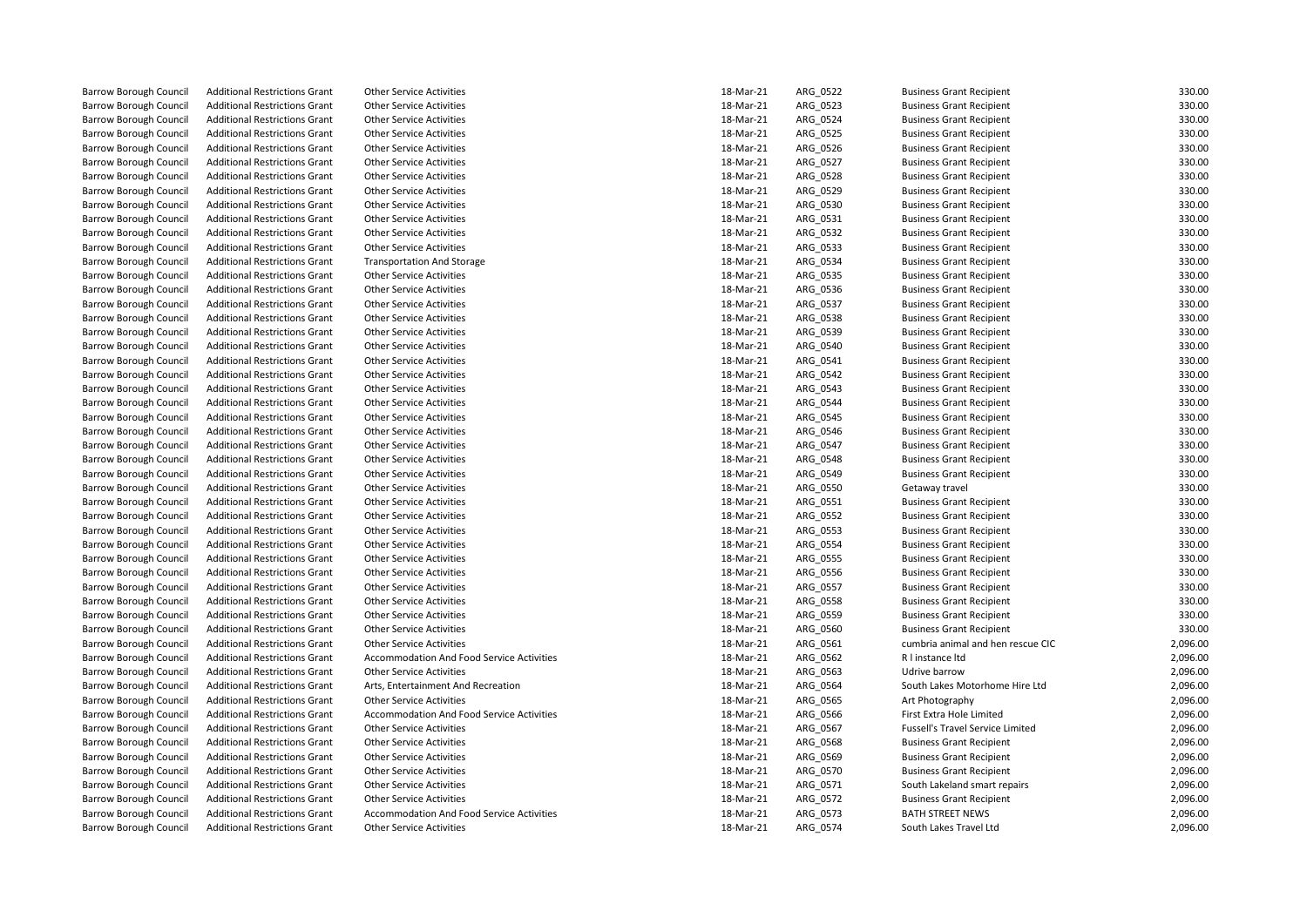| <b>Barrow Borough Council</b> | <b>Additional Restrictions Grant</b>                                         | <b>Other Service Activities</b>                                              | 18-Mar-21              | ARG_0522 | <b>Business Grant Recipient</b>                       | 330.00               |
|-------------------------------|------------------------------------------------------------------------------|------------------------------------------------------------------------------|------------------------|----------|-------------------------------------------------------|----------------------|
| <b>Barrow Borough Council</b> | <b>Additional Restrictions Grant</b>                                         | <b>Other Service Activities</b>                                              | 18-Mar-21              | ARG_0523 | <b>Business Grant Recipient</b>                       | 330.00               |
| <b>Barrow Borough Council</b> | <b>Additional Restrictions Grant</b>                                         | <b>Other Service Activities</b>                                              | 18-Mar-21              | ARG 0524 | <b>Business Grant Recipient</b>                       | 330.00               |
| <b>Barrow Borough Council</b> | <b>Additional Restrictions Grant</b>                                         | <b>Other Service Activities</b>                                              | 18-Mar-21              | ARG_0525 | <b>Business Grant Recipient</b>                       | 330.00               |
| <b>Barrow Borough Council</b> | <b>Additional Restrictions Grant</b>                                         | <b>Other Service Activities</b>                                              | 18-Mar-21              | ARG_0526 | <b>Business Grant Recipient</b>                       | 330.00               |
| <b>Barrow Borough Council</b> | <b>Additional Restrictions Grant</b>                                         | <b>Other Service Activities</b>                                              | 18-Mar-21              | ARG_0527 | <b>Business Grant Recipient</b>                       | 330.00               |
| <b>Barrow Borough Council</b> | <b>Additional Restrictions Grant</b>                                         | <b>Other Service Activities</b>                                              | 18-Mar-21              | ARG_0528 | <b>Business Grant Recipient</b>                       | 330.00               |
| <b>Barrow Borough Council</b> | <b>Additional Restrictions Grant</b>                                         | <b>Other Service Activities</b>                                              | 18-Mar-21              | ARG 0529 | <b>Business Grant Recipient</b>                       | 330.00               |
| <b>Barrow Borough Council</b> | <b>Additional Restrictions Grant</b>                                         | <b>Other Service Activities</b>                                              | 18-Mar-21              | ARG_0530 | <b>Business Grant Recipient</b>                       | 330.00               |
| <b>Barrow Borough Council</b> | <b>Additional Restrictions Grant</b>                                         | <b>Other Service Activities</b>                                              | 18-Mar-21              | ARG 0531 | <b>Business Grant Recipient</b>                       | 330.00               |
| <b>Barrow Borough Council</b> | <b>Additional Restrictions Grant</b>                                         | <b>Other Service Activities</b>                                              | 18-Mar-21              | ARG_0532 | <b>Business Grant Recipient</b>                       | 330.00               |
| <b>Barrow Borough Council</b> | <b>Additional Restrictions Grant</b>                                         | <b>Other Service Activities</b>                                              | 18-Mar-21              | ARG_0533 | <b>Business Grant Recipient</b>                       | 330.00               |
| <b>Barrow Borough Council</b> | <b>Additional Restrictions Grant</b>                                         | <b>Transportation And Storage</b>                                            | 18-Mar-21              | ARG_0534 | <b>Business Grant Recipient</b>                       | 330.00               |
| <b>Barrow Borough Council</b> | <b>Additional Restrictions Grant</b>                                         | <b>Other Service Activities</b>                                              | 18-Mar-21              | ARG_0535 | <b>Business Grant Recipient</b>                       | 330.00               |
| <b>Barrow Borough Council</b> | <b>Additional Restrictions Grant</b>                                         | <b>Other Service Activities</b>                                              | 18-Mar-21              | ARG 0536 | <b>Business Grant Recipient</b>                       | 330.00               |
| <b>Barrow Borough Council</b> | <b>Additional Restrictions Grant</b>                                         | <b>Other Service Activities</b>                                              | 18-Mar-21              | ARG_0537 | <b>Business Grant Recipient</b>                       | 330.00               |
| <b>Barrow Borough Council</b> | <b>Additional Restrictions Grant</b>                                         | <b>Other Service Activities</b>                                              | 18-Mar-21              | ARG_0538 | <b>Business Grant Recipient</b>                       | 330.00               |
| <b>Barrow Borough Council</b> | <b>Additional Restrictions Grant</b>                                         | <b>Other Service Activities</b>                                              | 18-Mar-21              | ARG_0539 | <b>Business Grant Recipient</b>                       | 330.00               |
| <b>Barrow Borough Council</b> | <b>Additional Restrictions Grant</b>                                         | <b>Other Service Activities</b>                                              | 18-Mar-21              | ARG_0540 | <b>Business Grant Recipient</b>                       | 330.00               |
| <b>Barrow Borough Council</b> | <b>Additional Restrictions Grant</b>                                         | <b>Other Service Activities</b>                                              | 18-Mar-21              | ARG 0541 | <b>Business Grant Recipient</b>                       | 330.00               |
| <b>Barrow Borough Council</b> | <b>Additional Restrictions Grant</b>                                         | <b>Other Service Activities</b>                                              | 18-Mar-21              | ARG_0542 | <b>Business Grant Recipient</b>                       | 330.00               |
| <b>Barrow Borough Council</b> | <b>Additional Restrictions Grant</b>                                         | <b>Other Service Activities</b>                                              | 18-Mar-21              | ARG_0543 | <b>Business Grant Recipient</b>                       | 330.00               |
| <b>Barrow Borough Council</b> | <b>Additional Restrictions Grant</b>                                         | <b>Other Service Activities</b>                                              | 18-Mar-21              | ARG 0544 | <b>Business Grant Recipient</b>                       | 330.00               |
| <b>Barrow Borough Council</b> | <b>Additional Restrictions Grant</b>                                         | <b>Other Service Activities</b>                                              | 18-Mar-21              | ARG_0545 | <b>Business Grant Recipient</b>                       | 330.00               |
| <b>Barrow Borough Council</b> | <b>Additional Restrictions Grant</b>                                         | <b>Other Service Activities</b>                                              | 18-Mar-21              | ARG 0546 | <b>Business Grant Recipient</b>                       | 330.00               |
| <b>Barrow Borough Council</b> | <b>Additional Restrictions Grant</b>                                         | <b>Other Service Activities</b>                                              | 18-Mar-21              | ARG 0547 | <b>Business Grant Recipient</b>                       | 330.00               |
| <b>Barrow Borough Council</b> | <b>Additional Restrictions Grant</b>                                         | <b>Other Service Activities</b>                                              | 18-Mar-21              | ARG_0548 | <b>Business Grant Recipient</b>                       | 330.00               |
| <b>Barrow Borough Council</b> | <b>Additional Restrictions Grant</b>                                         | <b>Other Service Activities</b>                                              | 18-Mar-21              | ARG_0549 | <b>Business Grant Recipient</b>                       | 330.00               |
| <b>Barrow Borough Council</b> | <b>Additional Restrictions Grant</b>                                         | <b>Other Service Activities</b>                                              | 18-Mar-21              | ARG_0550 | Getaway travel                                        | 330.00               |
| <b>Barrow Borough Council</b> | <b>Additional Restrictions Grant</b>                                         | <b>Other Service Activities</b>                                              | 18-Mar-21              | ARG 0551 | <b>Business Grant Recipient</b>                       | 330.00               |
| <b>Barrow Borough Council</b> | <b>Additional Restrictions Grant</b>                                         | <b>Other Service Activities</b>                                              | 18-Mar-21              | ARG 0552 | <b>Business Grant Recipient</b>                       | 330.00               |
| <b>Barrow Borough Council</b> | <b>Additional Restrictions Grant</b>                                         | Other Service Activities                                                     | 18-Mar-21              | ARG_0553 | <b>Business Grant Recipient</b>                       | 330.00               |
| <b>Barrow Borough Council</b> | <b>Additional Restrictions Grant</b>                                         | <b>Other Service Activities</b>                                              | 18-Mar-21              | ARG_0554 | <b>Business Grant Recipient</b>                       | 330.00               |
| <b>Barrow Borough Council</b> | <b>Additional Restrictions Grant</b>                                         | <b>Other Service Activities</b>                                              | 18-Mar-21              | ARG_0555 | <b>Business Grant Recipient</b>                       | 330.00               |
| <b>Barrow Borough Council</b> | <b>Additional Restrictions Grant</b>                                         | <b>Other Service Activities</b>                                              | 18-Mar-21              | ARG_0556 | <b>Business Grant Recipient</b>                       | 330.00               |
| <b>Barrow Borough Council</b> | <b>Additional Restrictions Grant</b>                                         | <b>Other Service Activities</b>                                              | 18-Mar-21              | ARG_0557 | <b>Business Grant Recipient</b>                       | 330.00               |
| <b>Barrow Borough Council</b> | <b>Additional Restrictions Grant</b>                                         | <b>Other Service Activities</b>                                              | 18-Mar-21              | ARG 0558 | <b>Business Grant Recipient</b>                       | 330.00               |
| <b>Barrow Borough Council</b> | <b>Additional Restrictions Grant</b>                                         | <b>Other Service Activities</b>                                              | 18-Mar-21              | ARG_0559 | <b>Business Grant Recipient</b>                       | 330.00               |
| <b>Barrow Borough Council</b> | <b>Additional Restrictions Grant</b>                                         | <b>Other Service Activities</b>                                              | 18-Mar-21              | ARG_0560 | <b>Business Grant Recipient</b>                       | 330.00               |
|                               |                                                                              |                                                                              |                        |          |                                                       |                      |
| <b>Barrow Borough Council</b> | <b>Additional Restrictions Grant</b><br><b>Additional Restrictions Grant</b> | <b>Other Service Activities</b><br>Accommodation And Food Service Activities | 18-Mar-21<br>18-Mar-21 | ARG_0561 | cumbria animal and hen rescue CIC<br>R I instance Itd | 2,096.00             |
| <b>Barrow Borough Council</b> |                                                                              | <b>Other Service Activities</b>                                              | 18-Mar-21              | ARG_0562 | Udrive barrow                                         | 2,096.00<br>2,096.00 |
| <b>Barrow Borough Council</b> | <b>Additional Restrictions Grant</b>                                         |                                                                              |                        | ARG 0563 |                                                       |                      |
| <b>Barrow Borough Council</b> | <b>Additional Restrictions Grant</b>                                         | Arts, Entertainment And Recreation                                           | 18-Mar-21              | ARG_0564 | South Lakes Motorhome Hire Ltd                        | 2,096.00             |
| <b>Barrow Borough Council</b> | <b>Additional Restrictions Grant</b>                                         | <b>Other Service Activities</b>                                              | 18-Mar-21              | ARG_0565 | Art Photography                                       | 2,096.00             |
| <b>Barrow Borough Council</b> | <b>Additional Restrictions Grant</b>                                         | Accommodation And Food Service Activities                                    | 18-Mar-21              | ARG_0566 | First Extra Hole Limited                              | 2,096.00             |
| <b>Barrow Borough Council</b> | <b>Additional Restrictions Grant</b>                                         | <b>Other Service Activities</b>                                              | 18-Mar-21              | ARG_0567 | Fussell's Travel Service Limited                      | 2,096.00             |
| <b>Barrow Borough Council</b> | <b>Additional Restrictions Grant</b>                                         | <b>Other Service Activities</b>                                              | 18-Mar-21              | ARG 0568 | <b>Business Grant Recipient</b>                       | 2,096.00             |
| <b>Barrow Borough Council</b> | <b>Additional Restrictions Grant</b>                                         | <b>Other Service Activities</b>                                              | 18-Mar-21              | ARG_0569 | <b>Business Grant Recipient</b>                       | 2,096.00             |
| <b>Barrow Borough Council</b> | <b>Additional Restrictions Grant</b>                                         | <b>Other Service Activities</b>                                              | 18-Mar-21              | ARG_0570 | <b>Business Grant Recipient</b>                       | 2,096.00             |
| <b>Barrow Borough Council</b> | <b>Additional Restrictions Grant</b>                                         | <b>Other Service Activities</b>                                              | 18-Mar-21              | ARG 0571 | South Lakeland smart repairs                          | 2,096.00             |
| <b>Barrow Borough Council</b> | <b>Additional Restrictions Grant</b>                                         | <b>Other Service Activities</b>                                              | 18-Mar-21              | ARG_0572 | <b>Business Grant Recipient</b>                       | 2,096.00             |
| <b>Barrow Borough Council</b> | <b>Additional Restrictions Grant</b>                                         | Accommodation And Food Service Activities                                    | 18-Mar-21              | ARG_0573 | <b>BATH STREET NEWS</b>                               | 2,096.00             |
| <b>Barrow Borough Council</b> | <b>Additional Restrictions Grant</b>                                         | <b>Other Service Activities</b>                                              | 18-Mar-21              | ARG 0574 | South Lakes Travel Ltd                                | 2,096.00             |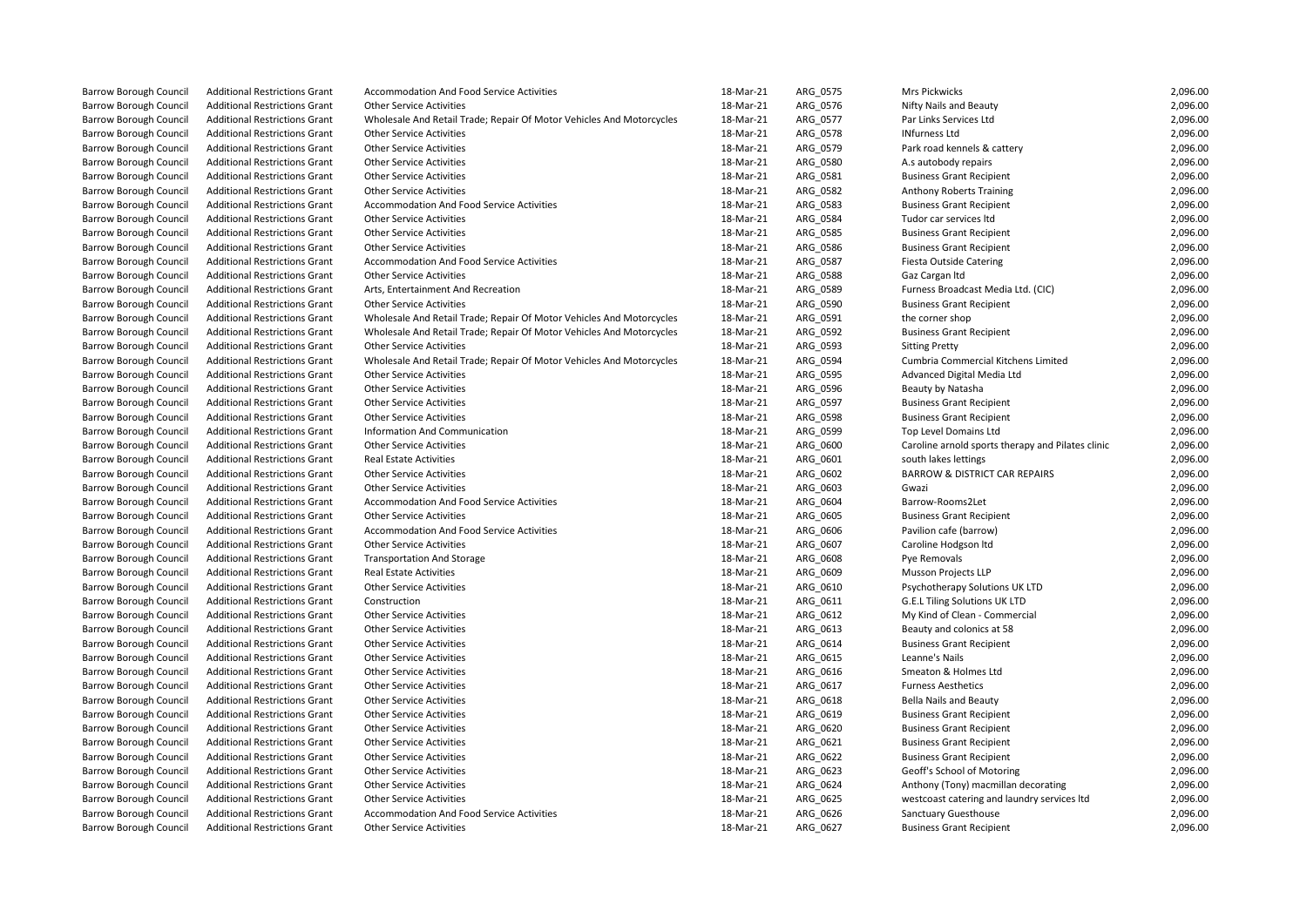| <b>Barrow Borough Council</b> | <b>Additional Restrictions Grant</b> | <b>Accommodation And Food Service Activities</b>                     | 18-Mar-21              | ARG_0575 | <b>Mrs Pickwicks</b>                              | 2,096.00             |
|-------------------------------|--------------------------------------|----------------------------------------------------------------------|------------------------|----------|---------------------------------------------------|----------------------|
| <b>Barrow Borough Council</b> | <b>Additional Restrictions Grant</b> | <b>Other Service Activities</b>                                      | 18-Mar-21              | ARG_0576 | Nifty Nails and Beauty                            | 2,096.00             |
| <b>Barrow Borough Council</b> | <b>Additional Restrictions Grant</b> | Wholesale And Retail Trade; Repair Of Motor Vehicles And Motorcycles | 18-Mar-21              | ARG_0577 | Par Links Services Ltd                            | 2,096.00             |
| <b>Barrow Borough Council</b> | <b>Additional Restrictions Grant</b> | <b>Other Service Activities</b>                                      | 18-Mar-21              | ARG 0578 | <b>INfurness Ltd</b>                              | 2,096.00             |
| <b>Barrow Borough Council</b> | <b>Additional Restrictions Grant</b> | <b>Other Service Activities</b>                                      | 18-Mar-21              | ARG_0579 | Park road kennels & cattery                       | 2,096.00             |
| <b>Barrow Borough Council</b> | <b>Additional Restrictions Grant</b> | <b>Other Service Activities</b>                                      | 18-Mar-21              | ARG_0580 | A.s autobody repairs                              | 2,096.00             |
| <b>Barrow Borough Council</b> | <b>Additional Restrictions Grant</b> | <b>Other Service Activities</b>                                      | 18-Mar-21              | ARG_0581 | <b>Business Grant Recipient</b>                   | 2,096.00             |
| <b>Barrow Borough Council</b> | <b>Additional Restrictions Grant</b> | <b>Other Service Activities</b>                                      | 18-Mar-21              | ARG_0582 | Anthony Roberts Training                          | 2,096.00             |
| <b>Barrow Borough Council</b> | <b>Additional Restrictions Grant</b> | Accommodation And Food Service Activities                            | 18-Mar-21              | ARG_0583 | <b>Business Grant Recipient</b>                   | 2,096.00             |
| <b>Barrow Borough Council</b> | <b>Additional Restrictions Grant</b> | <b>Other Service Activities</b>                                      | 18-Mar-21              | ARG_0584 | Tudor car services ltd                            | 2,096.00             |
| <b>Barrow Borough Council</b> | <b>Additional Restrictions Grant</b> | <b>Other Service Activities</b>                                      | 18-Mar-21              | ARG_0585 | <b>Business Grant Recipient</b>                   | 2,096.00             |
| <b>Barrow Borough Council</b> | <b>Additional Restrictions Grant</b> | <b>Other Service Activities</b>                                      | 18-Mar-21              |          | <b>Business Grant Recipient</b>                   | 2,096.00             |
|                               |                                      |                                                                      |                        | ARG_0586 |                                                   |                      |
| <b>Barrow Borough Council</b> | <b>Additional Restrictions Grant</b> | Accommodation And Food Service Activities                            | 18-Mar-21<br>18-Mar-21 | ARG_0587 | Fiesta Outside Catering                           | 2,096.00<br>2,096.00 |
| <b>Barrow Borough Council</b> | <b>Additional Restrictions Grant</b> | <b>Other Service Activities</b>                                      |                        | ARG_0588 | Gaz Cargan Itd                                    |                      |
| <b>Barrow Borough Council</b> | <b>Additional Restrictions Grant</b> | Arts, Entertainment And Recreation                                   | 18-Mar-21              | ARG_0589 | Furness Broadcast Media Ltd. (CIC)                | 2,096.00             |
| <b>Barrow Borough Council</b> | <b>Additional Restrictions Grant</b> | <b>Other Service Activities</b>                                      | 18-Mar-21              | ARG_0590 | <b>Business Grant Recipient</b>                   | 2,096.00             |
| <b>Barrow Borough Council</b> | <b>Additional Restrictions Grant</b> | Wholesale And Retail Trade; Repair Of Motor Vehicles And Motorcycles | 18-Mar-21              | ARG_0591 | the corner shop                                   | 2,096.00             |
| <b>Barrow Borough Council</b> | <b>Additional Restrictions Grant</b> | Wholesale And Retail Trade; Repair Of Motor Vehicles And Motorcycles | 18-Mar-21              | ARG_0592 | <b>Business Grant Recipient</b>                   | 2,096.00             |
| <b>Barrow Borough Council</b> | <b>Additional Restrictions Grant</b> | <b>Other Service Activities</b>                                      | 18-Mar-21              | ARG_0593 | <b>Sitting Pretty</b>                             | 2,096.00             |
| <b>Barrow Borough Council</b> | <b>Additional Restrictions Grant</b> | Wholesale And Retail Trade; Repair Of Motor Vehicles And Motorcycles | 18-Mar-21              | ARG 0594 | Cumbria Commercial Kitchens Limited               | 2,096.00             |
| <b>Barrow Borough Council</b> | <b>Additional Restrictions Grant</b> | <b>Other Service Activities</b>                                      | 18-Mar-21              | ARG_0595 | Advanced Digital Media Ltd                        | 2,096.00             |
| <b>Barrow Borough Council</b> | <b>Additional Restrictions Grant</b> | <b>Other Service Activities</b>                                      | 18-Mar-21              | ARG_0596 | Beauty by Natasha                                 | 2,096.00             |
| <b>Barrow Borough Council</b> | <b>Additional Restrictions Grant</b> | <b>Other Service Activities</b>                                      | 18-Mar-21              | ARG 0597 | <b>Business Grant Recipient</b>                   | 2,096.00             |
| <b>Barrow Borough Council</b> | <b>Additional Restrictions Grant</b> | <b>Other Service Activities</b>                                      | 18-Mar-21              | ARG_0598 | <b>Business Grant Recipient</b>                   | 2,096.00             |
| <b>Barrow Borough Council</b> | <b>Additional Restrictions Grant</b> | Information And Communication                                        | 18-Mar-21              | ARG_0599 | Top Level Domains Ltd                             | 2,096.00             |
| <b>Barrow Borough Council</b> | <b>Additional Restrictions Grant</b> | <b>Other Service Activities</b>                                      | 18-Mar-21              | ARG 0600 | Caroline arnold sports therapy and Pilates clinic | 2,096.00             |
| <b>Barrow Borough Council</b> | <b>Additional Restrictions Grant</b> | <b>Real Estate Activities</b>                                        | 18-Mar-21              | ARG_0601 | south lakes lettings                              | 2,096.00             |
| <b>Barrow Borough Council</b> | <b>Additional Restrictions Grant</b> | <b>Other Service Activities</b>                                      | 18-Mar-21              | ARG_0602 | <b>BARROW &amp; DISTRICT CAR REPAIRS</b>          | 2,096.00             |
| <b>Barrow Borough Council</b> | <b>Additional Restrictions Grant</b> | <b>Other Service Activities</b>                                      | 18-Mar-21              | ARG 0603 | Gwazi                                             | 2,096.00             |
| <b>Barrow Borough Council</b> | <b>Additional Restrictions Grant</b> | Accommodation And Food Service Activities                            | 18-Mar-21              | ARG_0604 | Barrow-Rooms2Let                                  | 2,096.00             |
| <b>Barrow Borough Council</b> | <b>Additional Restrictions Grant</b> | <b>Other Service Activities</b>                                      | 18-Mar-21              | ARG_0605 | <b>Business Grant Recipient</b>                   | 2,096.00             |
| <b>Barrow Borough Council</b> | <b>Additional Restrictions Grant</b> | Accommodation And Food Service Activities                            | 18-Mar-21              | ARG 0606 | Pavilion cafe (barrow)                            | 2,096.00             |
| <b>Barrow Borough Council</b> | <b>Additional Restrictions Grant</b> | <b>Other Service Activities</b>                                      | 18-Mar-21              | ARG_0607 | Caroline Hodgson Itd                              | 2,096.00             |
| <b>Barrow Borough Council</b> | <b>Additional Restrictions Grant</b> | <b>Transportation And Storage</b>                                    | 18-Mar-21              | ARG_0608 | Pye Removals                                      | 2,096.00             |
| <b>Barrow Borough Council</b> | <b>Additional Restrictions Grant</b> | <b>Real Estate Activities</b>                                        | 18-Mar-21              | ARG 0609 | Musson Projects LLP                               | 2,096.00             |
| <b>Barrow Borough Council</b> | <b>Additional Restrictions Grant</b> | <b>Other Service Activities</b>                                      | 18-Mar-21              | ARG_0610 | Psychotherapy Solutions UK LTD                    | 2,096.00             |
| <b>Barrow Borough Council</b> | <b>Additional Restrictions Grant</b> | Construction                                                         | 18-Mar-21              | ARG_0611 | G.E.L Tiling Solutions UK LTD                     | 2,096.00             |
| <b>Barrow Borough Council</b> | <b>Additional Restrictions Grant</b> | <b>Other Service Activities</b>                                      | 18-Mar-21              | ARG 0612 | My Kind of Clean - Commercial                     | 2,096.00             |
| <b>Barrow Borough Council</b> | <b>Additional Restrictions Grant</b> | <b>Other Service Activities</b>                                      | 18-Mar-21              | ARG_0613 | Beauty and colonics at 58                         | 2,096.00             |
| <b>Barrow Borough Council</b> | <b>Additional Restrictions Grant</b> | <b>Other Service Activities</b>                                      | 18-Mar-21              | ARG_0614 | <b>Business Grant Recipient</b>                   | 2,096.00             |
| <b>Barrow Borough Council</b> | <b>Additional Restrictions Grant</b> | <b>Other Service Activities</b>                                      | 18-Mar-21              | ARG 0615 | Leanne's Nails                                    | 2,096.00             |
| <b>Barrow Borough Council</b> | <b>Additional Restrictions Grant</b> | <b>Other Service Activities</b>                                      | 18-Mar-21              | ARG_0616 | Smeaton & Holmes Ltd                              | 2,096.00             |
| <b>Barrow Borough Council</b> | <b>Additional Restrictions Grant</b> | <b>Other Service Activities</b>                                      | 18-Mar-21              | ARG_0617 | <b>Furness Aesthetics</b>                         | 2,096.00             |
| <b>Barrow Borough Council</b> | <b>Additional Restrictions Grant</b> | <b>Other Service Activities</b>                                      | 18-Mar-21              | ARG 0618 | <b>Bella Nails and Beauty</b>                     | 2,096.00             |
| <b>Barrow Borough Council</b> | <b>Additional Restrictions Grant</b> | <b>Other Service Activities</b>                                      | 18-Mar-21              | ARG_0619 | <b>Business Grant Recipient</b>                   | 2,096.00             |
| <b>Barrow Borough Council</b> | <b>Additional Restrictions Grant</b> | <b>Other Service Activities</b>                                      | 18-Mar-21              | ARG_0620 | <b>Business Grant Recipient</b>                   | 2,096.00             |
| <b>Barrow Borough Council</b> | <b>Additional Restrictions Grant</b> | <b>Other Service Activities</b>                                      | 18-Mar-21              | ARG 0621 | <b>Business Grant Recipient</b>                   | 2,096.00             |
| <b>Barrow Borough Council</b> | <b>Additional Restrictions Grant</b> | <b>Other Service Activities</b>                                      | 18-Mar-21              | ARG_0622 | <b>Business Grant Recipient</b>                   | 2,096.00             |
| <b>Barrow Borough Council</b> | <b>Additional Restrictions Grant</b> | <b>Other Service Activities</b>                                      | 18-Mar-21              | ARG_0623 | Geoff's School of Motoring                        | 2,096.00             |
| <b>Barrow Borough Council</b> | <b>Additional Restrictions Grant</b> | <b>Other Service Activities</b>                                      | 18-Mar-21              | ARG 0624 | Anthony (Tony) macmillan decorating               | 2,096.00             |
| <b>Barrow Borough Council</b> | <b>Additional Restrictions Grant</b> | <b>Other Service Activities</b>                                      | 18-Mar-21              | ARG_0625 | westcoast catering and laundry services Itd       | 2,096.00             |
| <b>Barrow Borough Council</b> | <b>Additional Restrictions Grant</b> | Accommodation And Food Service Activities                            | 18-Mar-21              | ARG_0626 | Sanctuary Guesthouse                              | 2,096.00             |
| <b>Barrow Borough Council</b> | <b>Additional Restrictions Grant</b> | <b>Other Service Activities</b>                                      | 18-Mar-21              | ARG 0627 | <b>Business Grant Recipient</b>                   | 2,096.00             |
|                               |                                      |                                                                      |                        |          |                                                   |                      |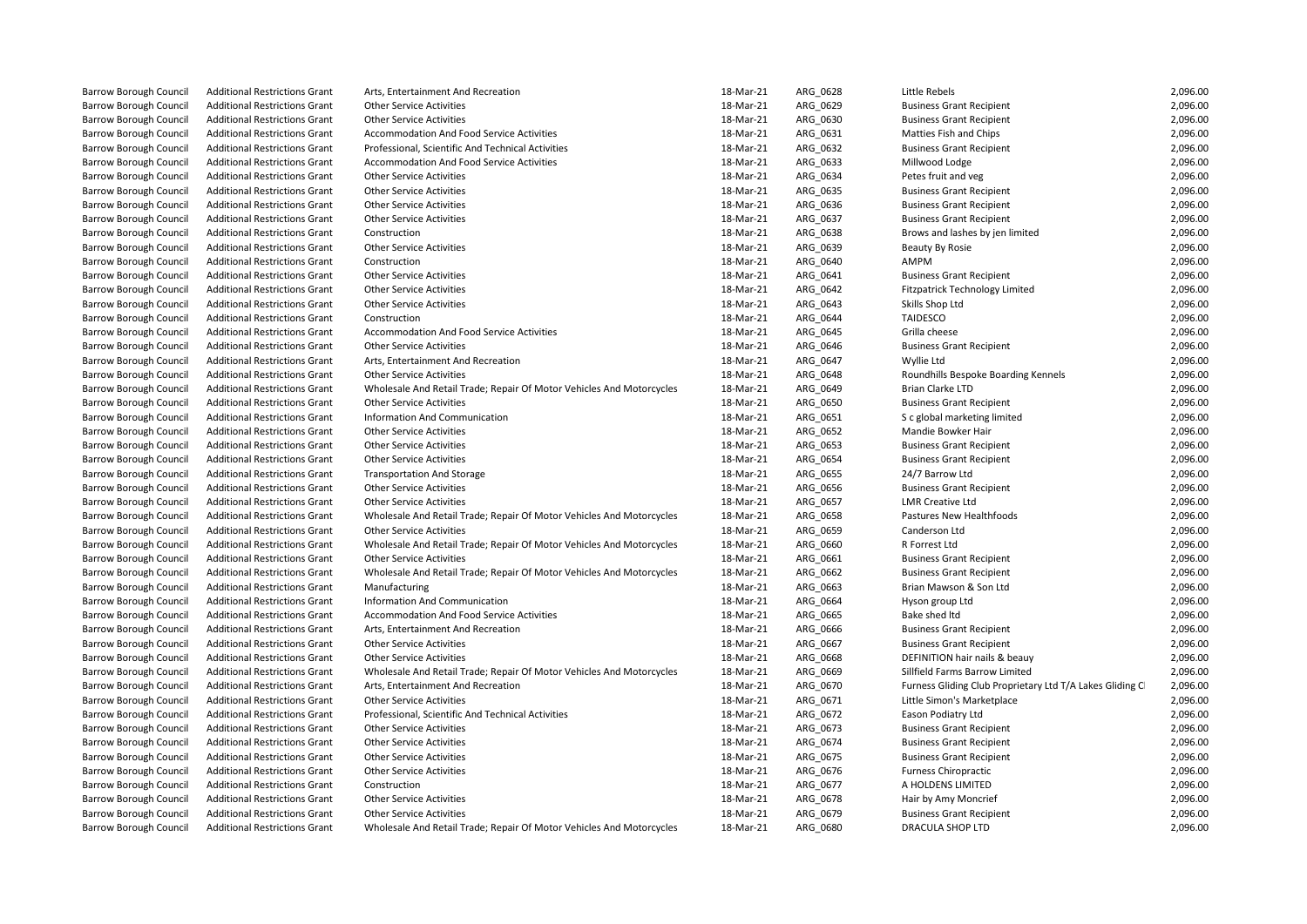| <b>Barrow Borough Council</b> | <b>Additional Restrictions Grant</b> | Arts, Entertainment And Recreation                                   | 18-Mar-21 | ARG_0628 | Little Rebels                                             | 2,096.00 |
|-------------------------------|--------------------------------------|----------------------------------------------------------------------|-----------|----------|-----------------------------------------------------------|----------|
| <b>Barrow Borough Council</b> | <b>Additional Restrictions Grant</b> | <b>Other Service Activities</b>                                      | 18-Mar-21 | ARG 0629 | <b>Business Grant Recipient</b>                           | 2,096.00 |
| <b>Barrow Borough Council</b> | <b>Additional Restrictions Grant</b> | <b>Other Service Activities</b>                                      | 18-Mar-21 | ARG_0630 | <b>Business Grant Recipient</b>                           | 2,096.00 |
| <b>Barrow Borough Council</b> | <b>Additional Restrictions Grant</b> | Accommodation And Food Service Activities                            | 18-Mar-21 | ARG_0631 | Matties Fish and Chips                                    | 2,096.00 |
| <b>Barrow Borough Council</b> | <b>Additional Restrictions Grant</b> | Professional, Scientific And Technical Activities                    | 18-Mar-21 | ARG_0632 | <b>Business Grant Recipient</b>                           | 2,096.00 |
| <b>Barrow Borough Council</b> | <b>Additional Restrictions Grant</b> | <b>Accommodation And Food Service Activities</b>                     | 18-Mar-21 | ARG 0633 | Millwood Lodge                                            | 2,096.00 |
| <b>Barrow Borough Council</b> | <b>Additional Restrictions Grant</b> | <b>Other Service Activities</b>                                      | 18-Mar-21 | ARG_0634 | Petes fruit and veg                                       | 2,096.00 |
| <b>Barrow Borough Council</b> | <b>Additional Restrictions Grant</b> | <b>Other Service Activities</b>                                      | 18-Mar-21 | ARG_0635 | <b>Business Grant Recipient</b>                           | 2,096.00 |
| <b>Barrow Borough Council</b> | <b>Additional Restrictions Grant</b> | <b>Other Service Activities</b>                                      | 18-Mar-21 | ARG 0636 | <b>Business Grant Recipient</b>                           | 2,096.00 |
| <b>Barrow Borough Council</b> | <b>Additional Restrictions Grant</b> | <b>Other Service Activities</b>                                      | 18-Mar-21 | ARG_0637 | <b>Business Grant Recipient</b>                           | 2,096.00 |
| <b>Barrow Borough Council</b> | <b>Additional Restrictions Grant</b> | Construction                                                         | 18-Mar-21 | ARG_0638 | Brows and lashes by jen limited                           | 2,096.00 |
| <b>Barrow Borough Council</b> | <b>Additional Restrictions Grant</b> | <b>Other Service Activities</b>                                      | 18-Mar-21 | ARG 0639 | Beauty By Rosie                                           | 2,096.00 |
| <b>Barrow Borough Council</b> | <b>Additional Restrictions Grant</b> | Construction                                                         | 18-Mar-21 | ARG_0640 | AMPM                                                      | 2,096.00 |
| <b>Barrow Borough Council</b> | <b>Additional Restrictions Grant</b> | <b>Other Service Activities</b>                                      | 18-Mar-21 | ARG 0641 | <b>Business Grant Recipient</b>                           | 2,096.00 |
| <b>Barrow Borough Council</b> | <b>Additional Restrictions Grant</b> | <b>Other Service Activities</b>                                      | 18-Mar-21 | ARG 0642 | <b>Fitzpatrick Technology Limited</b>                     | 2,096.00 |
| <b>Barrow Borough Council</b> | <b>Additional Restrictions Grant</b> | <b>Other Service Activities</b>                                      | 18-Mar-21 | ARG 0643 | Skills Shop Ltd                                           | 2,096.00 |
| <b>Barrow Borough Council</b> | <b>Additional Restrictions Grant</b> | Construction                                                         | 18-Mar-21 | ARG_0644 | <b>TAIDESCO</b>                                           | 2,096.00 |
| <b>Barrow Borough Council</b> | <b>Additional Restrictions Grant</b> | Accommodation And Food Service Activities                            | 18-Mar-21 | ARG_0645 | Grilla cheese                                             | 2,096.00 |
| <b>Barrow Borough Council</b> | <b>Additional Restrictions Grant</b> | <b>Other Service Activities</b>                                      | 18-Mar-21 | ARG_0646 | <b>Business Grant Recipient</b>                           | 2,096.00 |
| <b>Barrow Borough Council</b> | <b>Additional Restrictions Grant</b> | Arts, Entertainment And Recreation                                   | 18-Mar-21 | ARG 0647 | Wyllie Ltd                                                | 2,096.00 |
| <b>Barrow Borough Council</b> | <b>Additional Restrictions Grant</b> | <b>Other Service Activities</b>                                      | 18-Mar-21 | ARG_0648 | Roundhills Bespoke Boarding Kennels                       | 2,096.00 |
| <b>Barrow Borough Council</b> | <b>Additional Restrictions Grant</b> | Wholesale And Retail Trade; Repair Of Motor Vehicles And Motorcycles | 18-Mar-21 | ARG_0649 | <b>Brian Clarke LTD</b>                                   | 2,096.00 |
| <b>Barrow Borough Council</b> | <b>Additional Restrictions Grant</b> | <b>Other Service Activities</b>                                      | 18-Mar-21 | ARG_0650 | <b>Business Grant Recipient</b>                           | 2,096.00 |
| <b>Barrow Borough Council</b> | <b>Additional Restrictions Grant</b> | Information And Communication                                        | 18-Mar-21 | ARG_0651 | S c global marketing limited                              | 2,096.00 |
| <b>Barrow Borough Council</b> | <b>Additional Restrictions Grant</b> | <b>Other Service Activities</b>                                      | 18-Mar-21 | ARG_0652 | Mandie Bowker Hair                                        | 2,096.00 |
| <b>Barrow Borough Council</b> | <b>Additional Restrictions Grant</b> | <b>Other Service Activities</b>                                      | 18-Mar-21 | ARG 0653 | <b>Business Grant Recipient</b>                           | 2,096.00 |
| <b>Barrow Borough Council</b> | <b>Additional Restrictions Grant</b> | <b>Other Service Activities</b>                                      | 18-Mar-21 | ARG_0654 | <b>Business Grant Recipient</b>                           | 2,096.00 |
| <b>Barrow Borough Council</b> | <b>Additional Restrictions Grant</b> | <b>Transportation And Storage</b>                                    | 18-Mar-21 | ARG_0655 | 24/7 Barrow Ltd                                           | 2,096.00 |
| <b>Barrow Borough Council</b> | <b>Additional Restrictions Grant</b> | <b>Other Service Activities</b>                                      | 18-Mar-21 | ARG_0656 | <b>Business Grant Recipient</b>                           | 2,096.00 |
| <b>Barrow Borough Council</b> | <b>Additional Restrictions Grant</b> | <b>Other Service Activities</b>                                      | 18-Mar-21 | ARG_0657 | <b>LMR Creative Ltd</b>                                   | 2,096.00 |
| <b>Barrow Borough Council</b> | <b>Additional Restrictions Grant</b> | Wholesale And Retail Trade; Repair Of Motor Vehicles And Motorcycles | 18-Mar-21 | ARG 0658 | Pastures New Healthfoods                                  | 2,096.00 |
| <b>Barrow Borough Council</b> | <b>Additional Restrictions Grant</b> | <b>Other Service Activities</b>                                      | 18-Mar-21 | ARG 0659 | Canderson Ltd                                             | 2,096.00 |
| <b>Barrow Borough Council</b> | <b>Additional Restrictions Grant</b> | Wholesale And Retail Trade; Repair Of Motor Vehicles And Motorcycles | 18-Mar-21 | ARG_0660 | R Forrest Ltd                                             | 2,096.00 |
| <b>Barrow Borough Council</b> | <b>Additional Restrictions Grant</b> | <b>Other Service Activities</b>                                      | 18-Mar-21 | ARG_0661 | <b>Business Grant Recipient</b>                           | 2,096.00 |
| <b>Barrow Borough Council</b> | <b>Additional Restrictions Grant</b> | Wholesale And Retail Trade; Repair Of Motor Vehicles And Motorcycles | 18-Mar-21 | ARG 0662 | <b>Business Grant Recipient</b>                           | 2,096.00 |
| <b>Barrow Borough Council</b> | <b>Additional Restrictions Grant</b> | Manufacturing                                                        | 18-Mar-21 | ARG_0663 | Brian Mawson & Son Ltd                                    | 2,096.00 |
| <b>Barrow Borough Council</b> | <b>Additional Restrictions Grant</b> | Information And Communication                                        | 18-Mar-21 | ARG_0664 | Hyson group Ltd                                           | 2,096.00 |
| <b>Barrow Borough Council</b> | <b>Additional Restrictions Grant</b> | <b>Accommodation And Food Service Activities</b>                     | 18-Mar-21 | ARG 0665 | Bake shed Itd                                             | 2,096.00 |
| <b>Barrow Borough Council</b> | <b>Additional Restrictions Grant</b> | Arts, Entertainment And Recreation                                   | 18-Mar-21 | ARG_0666 | <b>Business Grant Recipient</b>                           | 2,096.00 |
| <b>Barrow Borough Council</b> | <b>Additional Restrictions Grant</b> | <b>Other Service Activities</b>                                      | 18-Mar-21 | ARG_0667 | <b>Business Grant Recipient</b>                           | 2,096.00 |
| <b>Barrow Borough Council</b> | <b>Additional Restrictions Grant</b> | <b>Other Service Activities</b>                                      | 18-Mar-21 | ARG 0668 | DEFINITION hair nails & beauv                             | 2,096.00 |
| <b>Barrow Borough Council</b> | <b>Additional Restrictions Grant</b> | Wholesale And Retail Trade; Repair Of Motor Vehicles And Motorcycles | 18-Mar-21 | ARG_0669 | Sillfield Farms Barrow Limited                            | 2,096.00 |
| <b>Barrow Borough Council</b> | <b>Additional Restrictions Grant</b> | Arts, Entertainment And Recreation                                   | 18-Mar-21 | ARG_0670 | Furness Gliding Club Proprietary Ltd T/A Lakes Gliding Cl | 2,096.00 |
| <b>Barrow Borough Council</b> | <b>Additional Restrictions Grant</b> | <b>Other Service Activities</b>                                      | 18-Mar-21 | ARG 0671 | Little Simon's Marketplace                                | 2,096.00 |
| <b>Barrow Borough Council</b> | <b>Additional Restrictions Grant</b> | Professional, Scientific And Technical Activities                    | 18-Mar-21 | ARG_0672 | Eason Podiatry Ltd                                        | 2,096.00 |
| <b>Barrow Borough Council</b> | <b>Additional Restrictions Grant</b> | <b>Other Service Activities</b>                                      | 18-Mar-21 | ARG_0673 | <b>Business Grant Recipient</b>                           | 2,096.00 |
| <b>Barrow Borough Council</b> | <b>Additional Restrictions Grant</b> | <b>Other Service Activities</b>                                      | 18-Mar-21 | ARG 0674 | <b>Business Grant Recipient</b>                           | 2,096.00 |
| <b>Barrow Borough Council</b> | <b>Additional Restrictions Grant</b> | <b>Other Service Activities</b>                                      | 18-Mar-21 | ARG_0675 | <b>Business Grant Recipient</b>                           | 2,096.00 |
| <b>Barrow Borough Council</b> | <b>Additional Restrictions Grant</b> | <b>Other Service Activities</b>                                      | 18-Mar-21 | ARG_0676 | <b>Furness Chiropractic</b>                               | 2,096.00 |
| <b>Barrow Borough Council</b> | <b>Additional Restrictions Grant</b> | Construction                                                         | 18-Mar-21 | ARG 0677 | A HOLDENS LIMITED                                         | 2,096.00 |
| <b>Barrow Borough Council</b> | <b>Additional Restrictions Grant</b> | <b>Other Service Activities</b>                                      | 18-Mar-21 | ARG_0678 | Hair by Amy Moncrief                                      | 2,096.00 |
| <b>Barrow Borough Council</b> | <b>Additional Restrictions Grant</b> | <b>Other Service Activities</b>                                      | 18-Mar-21 | ARG_0679 | <b>Business Grant Recipient</b>                           | 2,096.00 |
| <b>Barrow Borough Council</b> | <b>Additional Restrictions Grant</b> | Wholesale And Retail Trade; Repair Of Motor Vehicles And Motorcycles | 18-Mar-21 | ARG 0680 | <b>DRACULA SHOP LTD</b>                                   | 2,096.00 |
|                               |                                      |                                                                      |           |          |                                                           |          |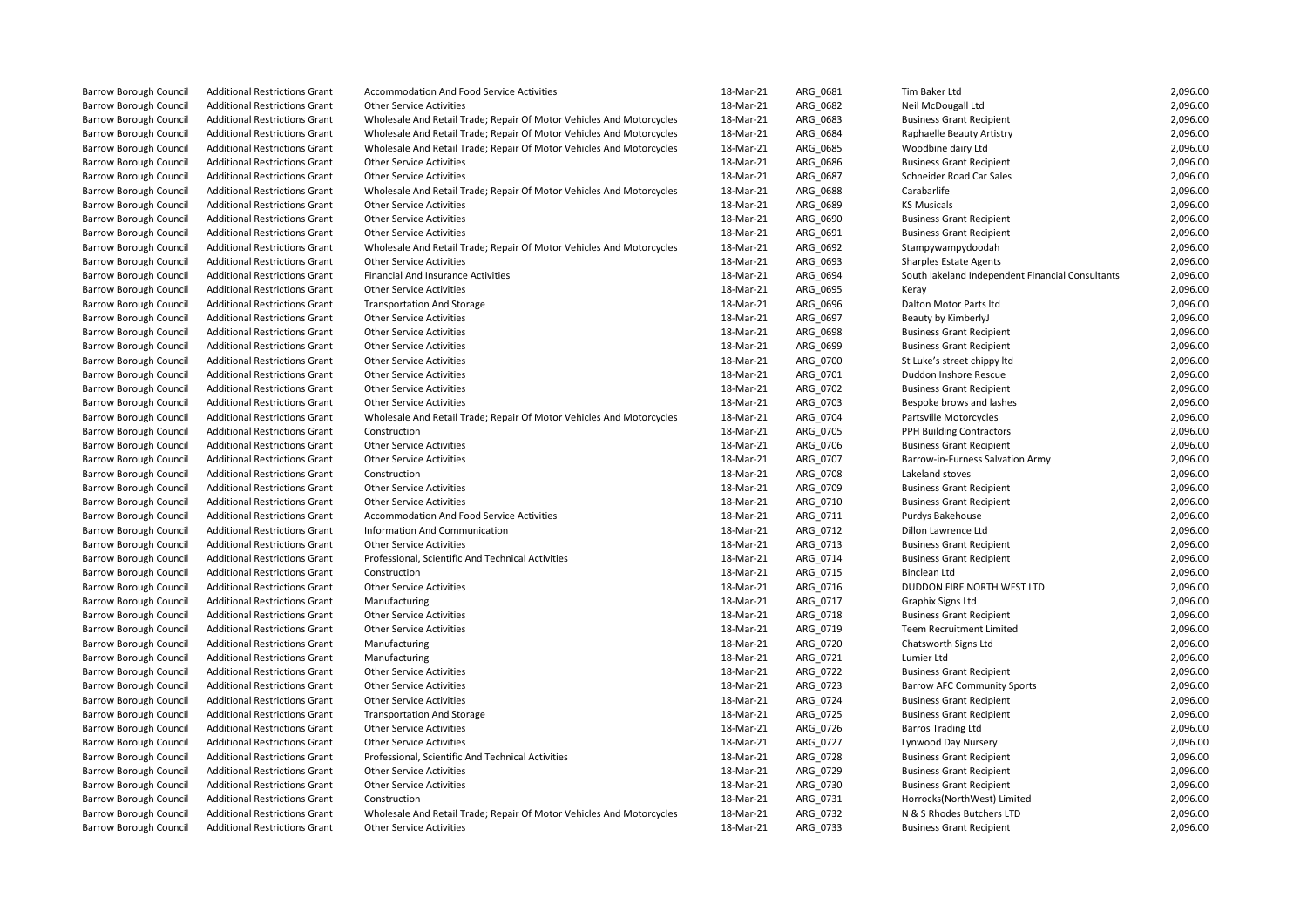| <b>Barrow Borough Council</b> | <b>Additional Restrictions Grant</b> | Accommodation And Food Service Activities                            | 18-Mar-21 | ARG_0681 | Tim Baker Ltd                                    | 2,096.00 |
|-------------------------------|--------------------------------------|----------------------------------------------------------------------|-----------|----------|--------------------------------------------------|----------|
| <b>Barrow Borough Council</b> | <b>Additional Restrictions Grant</b> | <b>Other Service Activities</b>                                      | 18-Mar-21 | ARG 0682 | Neil McDougall Ltd                               | 2,096.00 |
| <b>Barrow Borough Council</b> | <b>Additional Restrictions Grant</b> | Wholesale And Retail Trade; Repair Of Motor Vehicles And Motorcycles | 18-Mar-21 | ARG_0683 | <b>Business Grant Recipient</b>                  | 2,096.00 |
| <b>Barrow Borough Council</b> | <b>Additional Restrictions Grant</b> | Wholesale And Retail Trade; Repair Of Motor Vehicles And Motorcycles | 18-Mar-21 | ARG 0684 | Raphaelle Beauty Artistry                        | 2,096.00 |
| <b>Barrow Borough Council</b> | <b>Additional Restrictions Grant</b> | Wholesale And Retail Trade; Repair Of Motor Vehicles And Motorcycles | 18-Mar-21 | ARG_0685 | Woodbine dairy Ltd                               | 2,096.00 |
| Barrow Borough Council        | <b>Additional Restrictions Grant</b> | <b>Other Service Activities</b>                                      | 18-Mar-21 | ARG_0686 | <b>Business Grant Recipient</b>                  | 2,096.00 |
| <b>Barrow Borough Council</b> | <b>Additional Restrictions Grant</b> | <b>Other Service Activities</b>                                      | 18-Mar-21 | ARG_0687 | Schneider Road Car Sales                         | 2,096.00 |
| <b>Barrow Borough Council</b> | <b>Additional Restrictions Grant</b> | Wholesale And Retail Trade; Repair Of Motor Vehicles And Motorcycles | 18-Mar-21 | ARG 0688 | Carabarlife                                      | 2,096.00 |
| <b>Barrow Borough Council</b> | <b>Additional Restrictions Grant</b> | <b>Other Service Activities</b>                                      | 18-Mar-21 | ARG_0689 | <b>KS Musicals</b>                               | 2,096.00 |
| <b>Barrow Borough Council</b> | <b>Additional Restrictions Grant</b> | <b>Other Service Activities</b>                                      | 18-Mar-21 | ARG_0690 | <b>Business Grant Recipient</b>                  | 2,096.00 |
| <b>Barrow Borough Council</b> | <b>Additional Restrictions Grant</b> | <b>Other Service Activities</b>                                      | 18-Mar-21 | ARG 0691 | <b>Business Grant Recipient</b>                  | 2,096.00 |
| <b>Barrow Borough Council</b> | <b>Additional Restrictions Grant</b> | Wholesale And Retail Trade; Repair Of Motor Vehicles And Motorcycles | 18-Mar-21 | ARG_0692 | Stampywampydoodah                                | 2,096.00 |
| <b>Barrow Borough Council</b> | <b>Additional Restrictions Grant</b> | <b>Other Service Activities</b>                                      | 18-Mar-21 | ARG_0693 | <b>Sharples Estate Agents</b>                    | 2,096.00 |
| Barrow Borough Council        | <b>Additional Restrictions Grant</b> | <b>Financial And Insurance Activities</b>                            | 18-Mar-21 | ARG_0694 | South lakeland Independent Financial Consultants | 2,096.00 |
| <b>Barrow Borough Council</b> | <b>Additional Restrictions Grant</b> | <b>Other Service Activities</b>                                      | 18-Mar-21 | ARG_0695 | Keray                                            | 2,096.00 |
| <b>Barrow Borough Council</b> | <b>Additional Restrictions Grant</b> | <b>Transportation And Storage</b>                                    | 18-Mar-21 | ARG 0696 | Dalton Motor Parts ltd                           | 2,096.00 |
| <b>Barrow Borough Council</b> | <b>Additional Restrictions Grant</b> | <b>Other Service Activities</b>                                      | 18-Mar-21 | ARG_0697 | Beauty by KimberlyJ                              | 2,096.00 |
| <b>Barrow Borough Council</b> | <b>Additional Restrictions Grant</b> | <b>Other Service Activities</b>                                      | 18-Mar-21 | ARG_0698 | <b>Business Grant Recipient</b>                  | 2,096.00 |
| <b>Barrow Borough Council</b> | <b>Additional Restrictions Grant</b> | <b>Other Service Activities</b>                                      | 18-Mar-21 | ARG_0699 | <b>Business Grant Recipient</b>                  | 2,096.00 |
| <b>Barrow Borough Council</b> | <b>Additional Restrictions Grant</b> | <b>Other Service Activities</b>                                      | 18-Mar-21 | ARG 0700 | St Luke's street chippy ltd                      | 2,096.00 |
| <b>Barrow Borough Council</b> | <b>Additional Restrictions Grant</b> | <b>Other Service Activities</b>                                      | 18-Mar-21 | ARG_0701 | Duddon Inshore Rescue                            | 2,096.00 |
| <b>Barrow Borough Council</b> | <b>Additional Restrictions Grant</b> | <b>Other Service Activities</b>                                      | 18-Mar-21 | ARG_0702 | <b>Business Grant Recipient</b>                  | 2,096.00 |
| <b>Barrow Borough Council</b> | <b>Additional Restrictions Grant</b> | <b>Other Service Activities</b>                                      | 18-Mar-21 | ARG 0703 | Bespoke brows and lashes                         | 2,096.00 |
| <b>Barrow Borough Council</b> | <b>Additional Restrictions Grant</b> | Wholesale And Retail Trade; Repair Of Motor Vehicles And Motorcycles | 18-Mar-21 | ARG_0704 | Partsville Motorcycles                           | 2,096.00 |
| <b>Barrow Borough Council</b> | <b>Additional Restrictions Grant</b> | Construction                                                         | 18-Mar-21 | ARG_0705 | PPH Building Contractors                         | 2,096.00 |
| <b>Barrow Borough Council</b> | <b>Additional Restrictions Grant</b> | <b>Other Service Activities</b>                                      | 18-Mar-21 | ARG 0706 | <b>Business Grant Recipient</b>                  | 2,096.00 |
| <b>Barrow Borough Council</b> | <b>Additional Restrictions Grant</b> | <b>Other Service Activities</b>                                      | 18-Mar-21 | ARG_0707 | Barrow-in-Furness Salvation Army                 | 2,096.00 |
| <b>Barrow Borough Council</b> | <b>Additional Restrictions Grant</b> | Construction                                                         | 18-Mar-21 | ARG_0708 | Lakeland stoves                                  | 2,096.00 |
| <b>Barrow Borough Council</b> | <b>Additional Restrictions Grant</b> | <b>Other Service Activities</b>                                      | 18-Mar-21 | ARG_0709 | <b>Business Grant Recipient</b>                  | 2,096.00 |
| <b>Barrow Borough Council</b> | <b>Additional Restrictions Grant</b> | <b>Other Service Activities</b>                                      | 18-Mar-21 | ARG_0710 | <b>Business Grant Recipient</b>                  | 2,096.00 |
| <b>Barrow Borough Council</b> | <b>Additional Restrictions Grant</b> | Accommodation And Food Service Activities                            | 18-Mar-21 | ARG 0711 | Purdys Bakehouse                                 | 2,096.00 |
| <b>Barrow Borough Council</b> | <b>Additional Restrictions Grant</b> | Information And Communication                                        | 18-Mar-21 | ARG_0712 | Dillon Lawrence Ltd                              | 2,096.00 |
| <b>Barrow Borough Council</b> | <b>Additional Restrictions Grant</b> | <b>Other Service Activities</b>                                      | 18-Mar-21 | ARG_0713 | <b>Business Grant Recipient</b>                  | 2,096.00 |
| <b>Barrow Borough Council</b> | <b>Additional Restrictions Grant</b> | Professional, Scientific And Technical Activities                    | 18-Mar-21 | ARG 0714 | <b>Business Grant Recipient</b>                  | 2,096.00 |
| <b>Barrow Borough Council</b> | <b>Additional Restrictions Grant</b> | Construction                                                         | 18-Mar-21 | ARG_0715 | Binclean Ltd                                     | 2,096.00 |
| <b>Barrow Borough Council</b> | <b>Additional Restrictions Grant</b> | <b>Other Service Activities</b>                                      | 18-Mar-21 | ARG_0716 | DUDDON FIRE NORTH WEST LTD                       | 2,096.00 |
| <b>Barrow Borough Council</b> | <b>Additional Restrictions Grant</b> | Manufacturing                                                        | 18-Mar-21 | ARG_0717 | Graphix Signs Ltd                                | 2,096.00 |
| <b>Barrow Borough Council</b> | <b>Additional Restrictions Grant</b> | <b>Other Service Activities</b>                                      | 18-Mar-21 | ARG 0718 | <b>Business Grant Recipient</b>                  | 2,096.00 |
| <b>Barrow Borough Council</b> | <b>Additional Restrictions Grant</b> | <b>Other Service Activities</b>                                      | 18-Mar-21 | ARG_0719 | <b>Teem Recruitment Limited</b>                  | 2,096.00 |
| <b>Barrow Borough Council</b> | <b>Additional Restrictions Grant</b> | Manufacturing                                                        | 18-Mar-21 | ARG 0720 | Chatsworth Signs Ltd                             | 2,096.00 |
| <b>Barrow Borough Council</b> | <b>Additional Restrictions Grant</b> | Manufacturing                                                        | 18-Mar-21 | ARG_0721 | Lumier Ltd                                       | 2,096.00 |
| <b>Barrow Borough Council</b> | <b>Additional Restrictions Grant</b> | <b>Other Service Activities</b>                                      | 18-Mar-21 | ARG_0722 | <b>Business Grant Recipient</b>                  | 2,096.00 |
| <b>Barrow Borough Council</b> | <b>Additional Restrictions Grant</b> | <b>Other Service Activities</b>                                      | 18-Mar-21 | ARG 0723 | <b>Barrow AFC Community Sports</b>               | 2,096.00 |
| <b>Barrow Borough Council</b> | <b>Additional Restrictions Grant</b> | <b>Other Service Activities</b>                                      | 18-Mar-21 | ARG_0724 | <b>Business Grant Recipient</b>                  | 2,096.00 |
| <b>Barrow Borough Council</b> | <b>Additional Restrictions Grant</b> | <b>Transportation And Storage</b>                                    | 18-Mar-21 | ARG_0725 | <b>Business Grant Recipient</b>                  | 2,096.00 |
| <b>Barrow Borough Council</b> | <b>Additional Restrictions Grant</b> | <b>Other Service Activities</b>                                      | 18-Mar-21 | ARG 0726 | <b>Barros Trading Ltd</b>                        | 2,096.00 |
| <b>Barrow Borough Council</b> | <b>Additional Restrictions Grant</b> | <b>Other Service Activities</b>                                      | 18-Mar-21 | ARG_0727 | Lynwood Day Nursery                              | 2,096.00 |
| <b>Barrow Borough Council</b> | <b>Additional Restrictions Grant</b> | Professional, Scientific And Technical Activities                    | 18-Mar-21 | ARG_0728 | <b>Business Grant Recipient</b>                  | 2,096.00 |
| <b>Barrow Borough Council</b> | <b>Additional Restrictions Grant</b> | <b>Other Service Activities</b>                                      | 18-Mar-21 | ARG 0729 | <b>Business Grant Recipient</b>                  | 2,096.00 |
| <b>Barrow Borough Council</b> | <b>Additional Restrictions Grant</b> | <b>Other Service Activities</b>                                      | 18-Mar-21 | ARG_0730 | <b>Business Grant Recipient</b>                  | 2,096.00 |
| <b>Barrow Borough Council</b> | <b>Additional Restrictions Grant</b> | Construction                                                         | 18-Mar-21 | ARG_0731 | Horrocks(NorthWest) Limited                      | 2,096.00 |
| <b>Barrow Borough Council</b> | <b>Additional Restrictions Grant</b> | Wholesale And Retail Trade; Repair Of Motor Vehicles And Motorcycles | 18-Mar-21 | ARG_0732 | N & S Rhodes Butchers LTD                        | 2,096.00 |
| <b>Barrow Borough Council</b> | <b>Additional Restrictions Grant</b> | <b>Other Service Activities</b>                                      | 18-Mar-21 | ARG 0733 | <b>Business Grant Recipient</b>                  | 2.096.00 |
|                               |                                      |                                                                      |           |          |                                                  |          |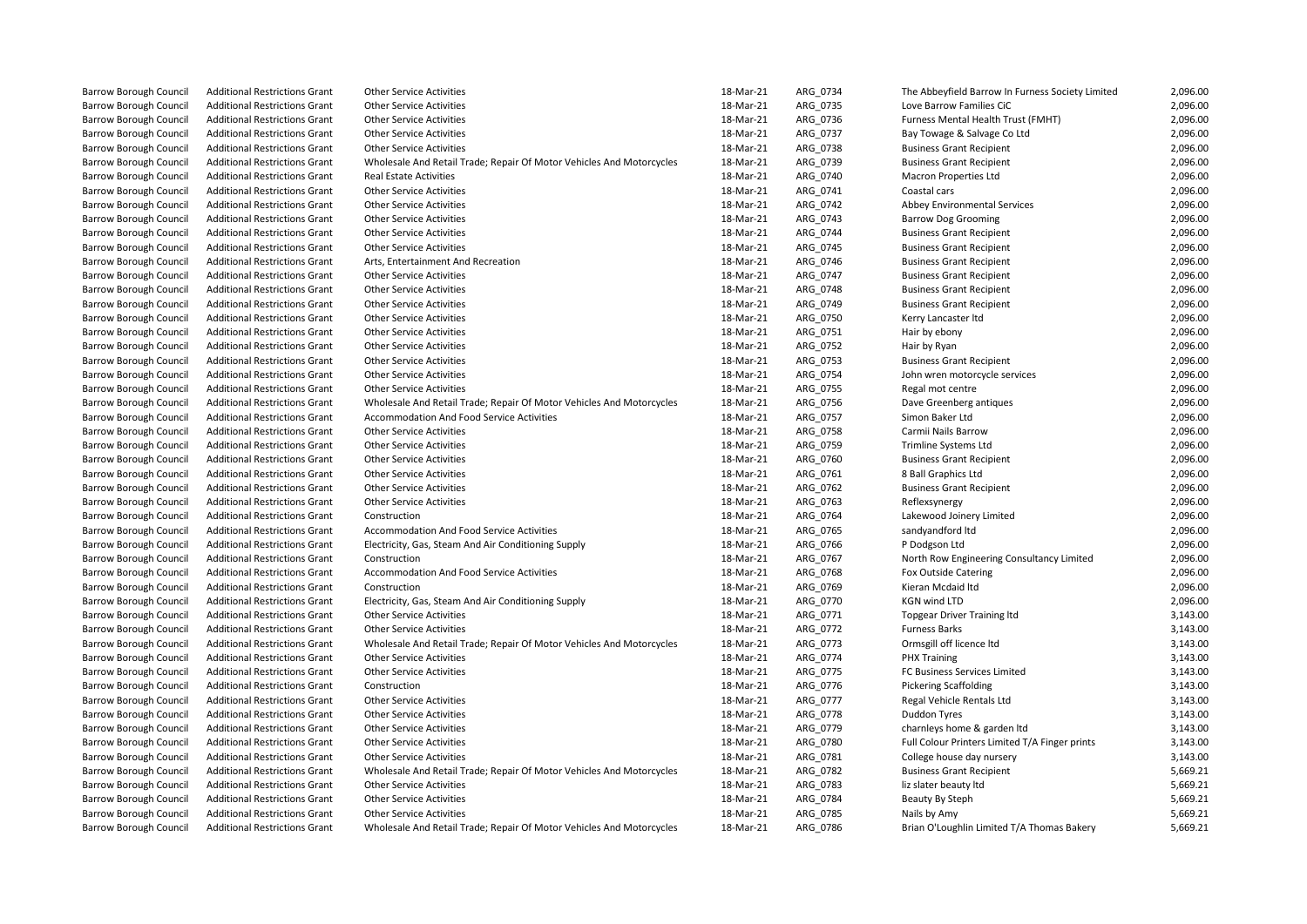| <b>Barrow Borough Council</b> | <b>Additional Restrictions Grant</b> | <b>Other Service Activities</b>                                      | 18-Mar-21 | ARG_0734 | The Abbeyfield Barrow In Furness Society Limited | 2,096.00 |
|-------------------------------|--------------------------------------|----------------------------------------------------------------------|-----------|----------|--------------------------------------------------|----------|
| <b>Barrow Borough Council</b> | <b>Additional Restrictions Grant</b> | <b>Other Service Activities</b>                                      | 18-Mar-21 | ARG 0735 | Love Barrow Families CiC                         | 2,096.00 |
| <b>Barrow Borough Council</b> | <b>Additional Restrictions Grant</b> | <b>Other Service Activities</b>                                      | 18-Mar-21 | ARG_0736 | Furness Mental Health Trust (FMHT)               | 2,096.00 |
| <b>Barrow Borough Council</b> | <b>Additional Restrictions Grant</b> | <b>Other Service Activities</b>                                      | 18-Mar-21 | ARG_0737 | Bay Towage & Salvage Co Ltd                      | 2,096.00 |
| <b>Barrow Borough Council</b> | <b>Additional Restrictions Grant</b> | <b>Other Service Activities</b>                                      | 18-Mar-21 | ARG_0738 | <b>Business Grant Recipient</b>                  | 2,096.00 |
| <b>Barrow Borough Council</b> | <b>Additional Restrictions Grant</b> | Wholesale And Retail Trade; Repair Of Motor Vehicles And Motorcycles | 18-Mar-21 | ARG_0739 | <b>Business Grant Recipient</b>                  | 2,096.00 |
| <b>Barrow Borough Council</b> | <b>Additional Restrictions Grant</b> | <b>Real Estate Activities</b>                                        | 18-Mar-21 | ARG_0740 | <b>Macron Properties Ltd</b>                     | 2,096.00 |
| <b>Barrow Borough Council</b> | <b>Additional Restrictions Grant</b> | <b>Other Service Activities</b>                                      | 18-Mar-21 | ARG_0741 | Coastal cars                                     | 2,096.00 |
| <b>Barrow Borough Council</b> | <b>Additional Restrictions Grant</b> | <b>Other Service Activities</b>                                      | 18-Mar-21 | ARG_0742 | Abbey Environmental Services                     | 2,096.00 |
| <b>Barrow Borough Council</b> | <b>Additional Restrictions Grant</b> | <b>Other Service Activities</b>                                      | 18-Mar-21 | ARG 0743 | <b>Barrow Dog Grooming</b>                       | 2,096.00 |
| <b>Barrow Borough Council</b> | <b>Additional Restrictions Grant</b> | <b>Other Service Activities</b>                                      | 18-Mar-21 | ARG_0744 | <b>Business Grant Recipient</b>                  | 2,096.00 |
| <b>Barrow Borough Council</b> | <b>Additional Restrictions Grant</b> | <b>Other Service Activities</b>                                      | 18-Mar-21 | ARG_0745 | <b>Business Grant Recipient</b>                  | 2,096.00 |
| <b>Barrow Borough Council</b> | <b>Additional Restrictions Grant</b> | Arts, Entertainment And Recreation                                   | 18-Mar-21 | ARG 0746 | <b>Business Grant Recipient</b>                  | 2,096.00 |
|                               |                                      | <b>Other Service Activities</b>                                      |           |          |                                                  | 2,096.00 |
| <b>Barrow Borough Council</b> | <b>Additional Restrictions Grant</b> |                                                                      | 18-Mar-21 | ARG_0747 | <b>Business Grant Recipient</b>                  |          |
| <b>Barrow Borough Council</b> | <b>Additional Restrictions Grant</b> | <b>Other Service Activities</b>                                      | 18-Mar-21 | ARG_0748 | <b>Business Grant Recipient</b>                  | 2,096.00 |
| <b>Barrow Borough Council</b> | <b>Additional Restrictions Grant</b> | <b>Other Service Activities</b>                                      | 18-Mar-21 | ARG 0749 | <b>Business Grant Recipient</b>                  | 2,096.00 |
| <b>Barrow Borough Council</b> | <b>Additional Restrictions Grant</b> | <b>Other Service Activities</b>                                      | 18-Mar-21 | ARG_0750 | Kerry Lancaster Itd                              | 2,096.00 |
| <b>Barrow Borough Council</b> | <b>Additional Restrictions Grant</b> | <b>Other Service Activities</b>                                      | 18-Mar-21 | ARG 0751 | Hair by ebony                                    | 2,096.00 |
| <b>Barrow Borough Council</b> | <b>Additional Restrictions Grant</b> | <b>Other Service Activities</b>                                      | 18-Mar-21 | ARG 0752 | Hair by Ryan                                     | 2,096.00 |
| <b>Barrow Borough Council</b> | <b>Additional Restrictions Grant</b> | <b>Other Service Activities</b>                                      | 18-Mar-21 | ARG_0753 | <b>Business Grant Recipient</b>                  | 2,096.00 |
| <b>Barrow Borough Council</b> | <b>Additional Restrictions Grant</b> | <b>Other Service Activities</b>                                      | 18-Mar-21 | ARG_0754 | John wren motorcycle services                    | 2,096.00 |
| <b>Barrow Borough Council</b> | <b>Additional Restrictions Grant</b> | <b>Other Service Activities</b>                                      | 18-Mar-21 | ARG_0755 | Regal mot centre                                 | 2,096.00 |
| <b>Barrow Borough Council</b> | <b>Additional Restrictions Grant</b> | Wholesale And Retail Trade; Repair Of Motor Vehicles And Motorcycles | 18-Mar-21 | ARG_0756 | Dave Greenberg antiques                          | 2,096.00 |
| <b>Barrow Borough Council</b> | <b>Additional Restrictions Grant</b> | Accommodation And Food Service Activities                            | 18-Mar-21 | ARG_0757 | Simon Baker Ltd                                  | 2,096.00 |
| <b>Barrow Borough Council</b> | <b>Additional Restrictions Grant</b> | <b>Other Service Activities</b>                                      | 18-Mar-21 | ARG_0758 | Carmii Nails Barrow                              | 2,096.00 |
| <b>Barrow Borough Council</b> | <b>Additional Restrictions Grant</b> | <b>Other Service Activities</b>                                      | 18-Mar-21 | ARG 0759 | <b>Trimline Systems Ltd</b>                      | 2,096.00 |
| <b>Barrow Borough Council</b> | <b>Additional Restrictions Grant</b> | <b>Other Service Activities</b>                                      | 18-Mar-21 | ARG_0760 | <b>Business Grant Recipient</b>                  | 2,096.00 |
| <b>Barrow Borough Council</b> | <b>Additional Restrictions Grant</b> | <b>Other Service Activities</b>                                      | 18-Mar-21 | ARG_0761 | 8 Ball Graphics Ltd                              | 2,096.00 |
| <b>Barrow Borough Council</b> | <b>Additional Restrictions Grant</b> | <b>Other Service Activities</b>                                      | 18-Mar-21 | ARG_0762 | <b>Business Grant Recipient</b>                  | 2,096.00 |
| <b>Barrow Borough Council</b> | <b>Additional Restrictions Grant</b> | <b>Other Service Activities</b>                                      | 18-Mar-21 | ARG_0763 | Reflexsynergy                                    | 2,096.00 |
| <b>Barrow Borough Council</b> | <b>Additional Restrictions Grant</b> | Construction                                                         | 18-Mar-21 | ARG_0764 | Lakewood Joinery Limited                         | 2,096.00 |
| <b>Barrow Borough Council</b> | <b>Additional Restrictions Grant</b> | Accommodation And Food Service Activities                            | 18-Mar-21 | ARG_0765 | sandyandford Itd                                 | 2,096.00 |
| <b>Barrow Borough Council</b> | <b>Additional Restrictions Grant</b> | Electricity, Gas, Steam And Air Conditioning Supply                  | 18-Mar-21 | ARG_0766 | P Dodgson Ltd                                    | 2,096.00 |
| <b>Barrow Borough Council</b> | <b>Additional Restrictions Grant</b> | Construction                                                         | 18-Mar-21 | ARG_0767 | North Row Engineering Consultancy Limited        | 2,096.00 |
| <b>Barrow Borough Council</b> | <b>Additional Restrictions Grant</b> | Accommodation And Food Service Activities                            | 18-Mar-21 | ARG_0768 | Fox Outside Catering                             | 2,096.00 |
| <b>Barrow Borough Council</b> | <b>Additional Restrictions Grant</b> | Construction                                                         | 18-Mar-21 | ARG_0769 | Kieran Mcdaid Itd                                | 2,096.00 |
| <b>Barrow Borough Council</b> | <b>Additional Restrictions Grant</b> | Electricity, Gas, Steam And Air Conditioning Supply                  | 18-Mar-21 | ARG 0770 | <b>KGN wind LTD</b>                              | 2,096.00 |
| <b>Barrow Borough Council</b> | <b>Additional Restrictions Grant</b> | <b>Other Service Activities</b>                                      | 18-Mar-21 | ARG_0771 | <b>Topgear Driver Training Itd</b>               | 3,143.00 |
|                               | <b>Additional Restrictions Grant</b> | <b>Other Service Activities</b>                                      | 18-Mar-21 | ARG_0772 | <b>Furness Barks</b>                             | 3,143.00 |
| <b>Barrow Borough Council</b> |                                      |                                                                      |           |          |                                                  | 3,143.00 |
| <b>Barrow Borough Council</b> | <b>Additional Restrictions Grant</b> | Wholesale And Retail Trade; Repair Of Motor Vehicles And Motorcycles | 18-Mar-21 | ARG 0773 | Ormsgill off licence Itd                         |          |
| <b>Barrow Borough Council</b> | <b>Additional Restrictions Grant</b> | <b>Other Service Activities</b>                                      | 18-Mar-21 | ARG_0774 | PHX Training                                     | 3,143.00 |
| <b>Barrow Borough Council</b> | <b>Additional Restrictions Grant</b> | <b>Other Service Activities</b>                                      | 18-Mar-21 | ARG_0775 | FC Business Services Limited                     | 3,143.00 |
| <b>Barrow Borough Council</b> | <b>Additional Restrictions Grant</b> | Construction                                                         | 18-Mar-21 | ARG 0776 | <b>Pickering Scaffolding</b>                     | 3,143.00 |
| <b>Barrow Borough Council</b> | <b>Additional Restrictions Grant</b> | <b>Other Service Activities</b>                                      | 18-Mar-21 | ARG_0777 | Regal Vehicle Rentals Ltd                        | 3,143.00 |
| <b>Barrow Borough Council</b> | <b>Additional Restrictions Grant</b> | <b>Other Service Activities</b>                                      | 18-Mar-21 | ARG 0778 | <b>Duddon Tyres</b>                              | 3,143.00 |
| <b>Barrow Borough Council</b> | <b>Additional Restrictions Grant</b> | <b>Other Service Activities</b>                                      | 18-Mar-21 | ARG_0779 | charnleys home & garden Itd                      | 3,143.00 |
| <b>Barrow Borough Council</b> | <b>Additional Restrictions Grant</b> | <b>Other Service Activities</b>                                      | 18-Mar-21 | ARG_0780 | Full Colour Printers Limited T/A Finger prints   | 3,143.00 |
| <b>Barrow Borough Council</b> | <b>Additional Restrictions Grant</b> | <b>Other Service Activities</b>                                      | 18-Mar-21 | ARG_0781 | College house day nursery                        | 3,143.00 |
| <b>Barrow Borough Council</b> | <b>Additional Restrictions Grant</b> | Wholesale And Retail Trade; Repair Of Motor Vehicles And Motorcycles | 18-Mar-21 | ARG_0782 | <b>Business Grant Recipient</b>                  | 5,669.21 |
| <b>Barrow Borough Council</b> | <b>Additional Restrictions Grant</b> | <b>Other Service Activities</b>                                      | 18-Mar-21 | ARG 0783 | liz slater beauty ltd                            | 5,669.21 |
| <b>Barrow Borough Council</b> | <b>Additional Restrictions Grant</b> | <b>Other Service Activities</b>                                      | 18-Mar-21 | ARG_0784 | Beauty By Steph                                  | 5,669.21 |
| <b>Barrow Borough Council</b> | <b>Additional Restrictions Grant</b> | <b>Other Service Activities</b>                                      | 18-Mar-21 | ARG_0785 | Nails by Amy                                     | 5,669.21 |
| <b>Barrow Borough Council</b> | <b>Additional Restrictions Grant</b> | Wholesale And Retail Trade; Repair Of Motor Vehicles And Motorcycles | 18-Mar-21 | ARG 0786 | Brian O'Loughlin Limited T/A Thomas Bakery       | 5,669.21 |